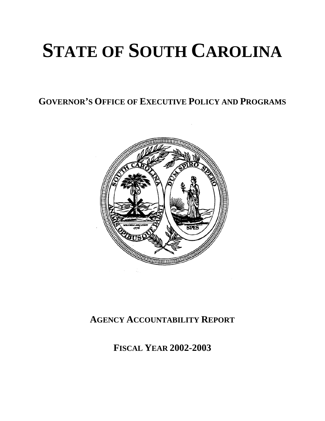# **STATE OF SOUTH CAROLINA**

**GOVERNOR'S OFFICE OF EXECUTIVE POLICY AND PROGRAMS**



# **AGENCY ACCOUNTABILITY REPORT**

**FISCAL YEAR 2002-2003**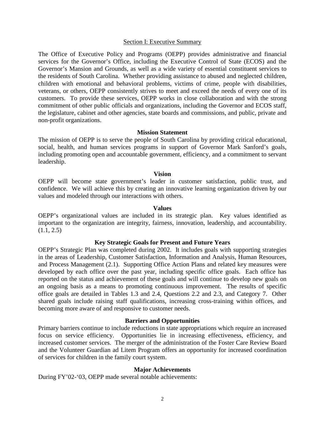#### Section I: Executive Summary

The Office of Executive Policy and Programs (OEPP) provides administrative and financial services for the Governor's Office, including the Executive Control of State (ECOS) and the Governor's Mansion and Grounds, as well as a wide variety of essential constituent services to the residents of South Carolina. Whether providing assistance to abused and neglected children, children with emotional and behavioral problems, victims of crime, people with disabilities, veterans, or others, OEPP consistently strives to meet and exceed the needs of every one of its customers. To provide these services, OEPP works in close collaboration and with the strong commitment of other public officials and organizations, including the Governor and ECOS staff, the legislature, cabinet and other agencies, state boards and commissions, and public, private and non-profit organizations.

#### **Mission Statement**

The mission of OEPP is to serve the people of South Carolina by providing critical educational, social, health, and human services programs in support of Governor Mark Sanford's goals, including promoting open and accountable government, efficiency, and a commitment to servant leadership.

#### **Vision**

OEPP will become state government's leader in customer satisfaction, public trust, and confidence. We will achieve this by creating an innovative learning organization driven by our values and modeled through our interactions with others.

#### **Values**

OEPP's organizational values are included in its strategic plan. Key values identified as important to the organization are integrity, fairness, innovation, leadership, and accountability.  $(1.1, 2.5)$ 

#### **Key Strategic Goals for Present and Future Years**

OEPP's Strategic Plan was completed during 2002. It includes goals with supporting strategies in the areas of Leadership, Customer Satisfaction, Information and Analysis, Human Resources, and Process Management (2.1). Supporting Office Action Plans and related key measures were developed by each office over the past year, including specific office goals. Each office has reported on the status and achievement of these goals and will continue to develop new goals on an ongoing basis as a means to promoting continuous improvement. The results of specific office goals are detailed in Tables 1.3 and 2.4, Questions 2.2 and 2.3, and Category 7. Other shared goals include raising staff qualifications, increasing cross-training within offices, and becoming more aware of and responsive to customer needs.

#### **Barriers and Opportunities**

Primary barriers continue to include reductions in state appropriations which require an increased focus on service efficiency. Opportunities lie in increasing effectiveness, efficiency, and increased customer services. The merger of the administration of the Foster Care Review Board and the Volunteer Guardian ad Litem Program offers an opportunity for increased coordination of services for children in the family court system.

#### **Major Achievements**

During FY'02-'03, OEPP made several notable achievements: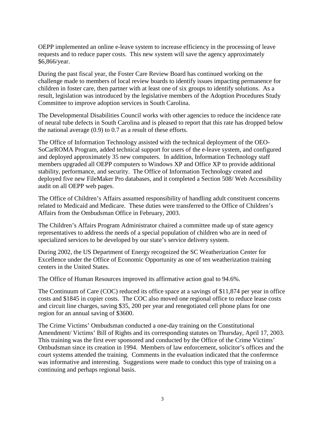OEPP implemented an online e-leave system to increase efficiency in the processing of leave requests and to reduce paper costs. This new system will save the agency approximately \$6,866/year.

During the past fiscal year, the Foster Care Review Board has continued working on the challenge made to members of local review boards to identify issues impacting permanence for children in foster care, then partner with at least one of six groups to identify solutions. As a result, legislation was introduced by the legislative members of the Adoption Procedures Study Committee to improve adoption services in South Carolina.

The Developmental Disabilities Council works with other agencies to reduce the incidence rate of neural tube defects in South Carolina and is pleased to report that this rate has dropped below the national average (0.9) to 0.7 as a result of these efforts.

The Office of Information Technology assisted with the technical deployment of the OEO-SoCarROMA Program, added technical support for users of the e-leave system, and configured and deployed approximately 35 new computers. In addition, Information Technology staff members upgraded all OEPP computers to Windows XP and Office XP to provide additional stability, performance, and security. The Office of Information Technology created and deployed five new FileMaker Pro databases, and it completed a Section 508/ Web Accessibility audit on all OEPP web pages.

The Office of Children's Affairs assumed responsibility of handling adult constituent concerns related to Medicaid and Medicare. These duties were transferred to the Office of Children's Affairs from the Ombudsman Office in February, 2003.

The Children's Affairs Program Administrator chaired a committee made up of state agency representatives to address the needs of a special population of children who are in need of specialized services to be developed by our state's service delivery system.

During 2002, the US Department of Energy recognized the SC Weatherization Center for Excellence under the Office of Economic Opportunity as one of ten weatherization training centers in the United States.

The Office of Human Resources improved its affirmative action goal to 94.6%.

The Continuum of Care (COC) reduced its office space at a savings of \$11,874 per year in office costs and \$1845 in copier costs. The COC also moved one regional office to reduce lease costs and circuit line charges, saving \$35, 200 per year and renegotiated cell phone plans for one region for an annual saving of \$3600.

The Crime Victims' Ombudsman conducted a one-day training on the Constitutional Amendment/ Victims' Bill of Rights and its corresponding statutes on Thursday, April 17, 2003. This training was the first ever sponsored and conducted by the Office of the Crime Victims' Ombudsman since its creation in 1994. Members of law enforcement, solicitor's offices and the court systems attended the training. Comments in the evaluation indicated that the conference was informative and interesting. Suggestions were made to conduct this type of training on a continuing and perhaps regional basis.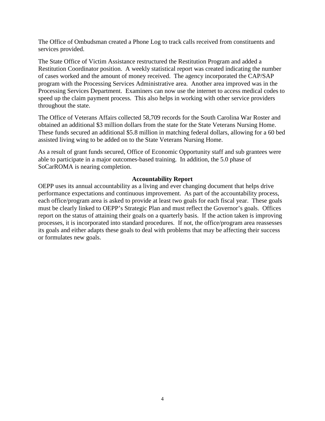The Office of Ombudsman created a Phone Log to track calls received from constituents and services provided.

The State Office of Victim Assistance restructured the Restitution Program and added a Restitution Coordinator position. A weekly statistical report was created indicating the number of cases worked and the amount of money received. The agency incorporated the CAP/SAP program with the Processing Services Administrative area. Another area improved was in the Processing Services Department. Examiners can now use the internet to access medical codes to speed up the claim payment process. This also helps in working with other service providers throughout the state.

The Office of Veterans Affairs collected 58,709 records for the South Carolina War Roster and obtained an additional \$3 million dollars from the state for the State Veterans Nursing Home. These funds secured an additional \$5.8 million in matching federal dollars, allowing for a 60 bed assisted living wing to be added on to the State Veterans Nursing Home.

As a result of grant funds secured, Office of Economic Opportunity staff and sub grantees were able to participate in a major outcomes-based training. In addition, the 5.0 phase of SoCarROMA is nearing completion.

#### **Accountability Report**

OEPP uses its annual accountability as a living and ever changing document that helps drive performance expectations and continuous improvement. As part of the accountability process, each office/program area is asked to provide at least two goals for each fiscal year. These goals must be clearly linked to OEPP's Strategic Plan and must reflect the Governor's goals. Offices report on the status of attaining their goals on a quarterly basis. If the action taken is improving processes, it is incorporated into standard procedures. If not, the office/program area reassesses its goals and either adapts these goals to deal with problems that may be affecting their success or formulates new goals.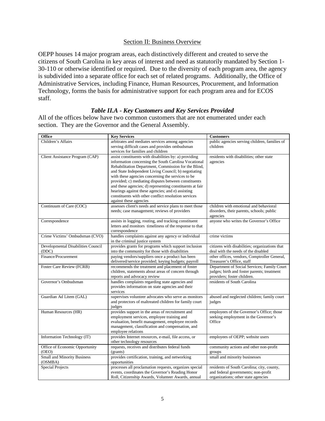#### Section II: Business Overview

OEPP houses 14 major program areas, each distinctively different and created to serve the citizens of South Carolina in key areas of interest and need as statutorily mandated by Section 1- 30-110 or otherwise identified or required. Due to the diversity of each program area, the agency is subdivided into a separate office for each set of related programs. Additionally, the Office of Administrative Services, including Finance, Human Resources, Procurement, and Information Technology, forms the basis for administrative support for each program area and for ECOS staff.

#### *Table II.A - Key Customers and Key Services Provided*

All of the offices below have two common customers that are not enumerated under each section. They are the Governor and the General Assembly.

| <b>Office</b>                           | <b>Key Services</b>                                                                                                                                                                                                                                                                                                                                                                                                                                                                                                                            | <b>Customers</b>                                                                                                          |
|-----------------------------------------|------------------------------------------------------------------------------------------------------------------------------------------------------------------------------------------------------------------------------------------------------------------------------------------------------------------------------------------------------------------------------------------------------------------------------------------------------------------------------------------------------------------------------------------------|---------------------------------------------------------------------------------------------------------------------------|
| Children's Affairs                      | arbitrates and mediates services among agencies                                                                                                                                                                                                                                                                                                                                                                                                                                                                                                | public agencies serving children, families of                                                                             |
|                                         | serving difficult cases and provides ombudsman<br>services for families and children                                                                                                                                                                                                                                                                                                                                                                                                                                                           | children                                                                                                                  |
| Client Assistance Program (CAP)         | assist constituents with disabilities by: a) providing<br>information concerning the South Carolina Vocational<br>Rehabilitation Department, Commission for the Blind,<br>and State Independent Living Council; b) negotiating<br>with these agencies concerning the services to be<br>provided; c) mediating disputes between constituents<br>and these agencies; d) representing constituents at fair<br>hearings against these agencies; and e) assisting<br>constituents with other conflict resolution services<br>against these agencies | residents with disabilities; other state<br>agencies                                                                      |
| Continuum of Care (COC)                 | assesses client's needs and service plans to meet those<br>needs; case management; reviews of providers                                                                                                                                                                                                                                                                                                                                                                                                                                        | children with emotional and behavioral<br>disorders, their parents, schools; public<br>agencies                           |
| Correspondence                          | assists in logging, routing, and tracking constituent<br>letters and monitors timeliness of the response to that<br>correspondence                                                                                                                                                                                                                                                                                                                                                                                                             | anyone who writes the Governor's Office                                                                                   |
| Crime Victims' Ombudsman (CVO)          | handles complaints against any agency or individual<br>in the criminal justice system                                                                                                                                                                                                                                                                                                                                                                                                                                                          | crime victims                                                                                                             |
| Developmental Disabilities Council      | provides grants for programs which support inclusion                                                                                                                                                                                                                                                                                                                                                                                                                                                                                           | citizens with disabilities; organizations that                                                                            |
| (DDC)                                   | into the community for those with disabilities                                                                                                                                                                                                                                                                                                                                                                                                                                                                                                 | deal with the needs of the disabled                                                                                       |
| Finance/Procurement                     | paying vendors/suppliers once a product has been<br>delivered/service provided; keying budgets; payroll                                                                                                                                                                                                                                                                                                                                                                                                                                        | other offices, vendors, Comptroller General,<br>Treasurer's Office, staff                                                 |
| Foster Care Review (FCRB)               | recommends the treatment and placement of foster<br>children, statements about areas of concern through<br>reports and advocacy review                                                                                                                                                                                                                                                                                                                                                                                                         | Department of Social Services; Family Court<br>judges; birth and foster parents; treatment<br>providers; foster children. |
| Governor's Ombudsman                    | handles complaints regarding state agencies and<br>provides information on state agencies and their<br>services                                                                                                                                                                                                                                                                                                                                                                                                                                | residents of South Carolina                                                                                               |
| Guardian Ad Litem (GAL)                 | supervises volunteer advocates who serve as monitors<br>and protectors of maltreated children for family court<br>judges                                                                                                                                                                                                                                                                                                                                                                                                                       | abused and neglected children; family court<br>judges                                                                     |
| Human Resources (HR)                    | provides support in the areas of recruitment and<br>employment services, employee training and<br>evaluation, benefit management, employee records<br>management, classification and compensation, and<br>employee relations                                                                                                                                                                                                                                                                                                                   | employees of the Governor's Office; those<br>seeking employment in the Governor's<br>Office                               |
| Information Technology (IT)             | provides Internet resources, e-mail, file access, or<br>other technology resources                                                                                                                                                                                                                                                                                                                                                                                                                                                             | employees of OEPP; website users                                                                                          |
| Office of Economic Opportunity<br>(OEO) | requests, receives and distributes federal funds<br>(grants)                                                                                                                                                                                                                                                                                                                                                                                                                                                                                   | community actions and other non-profit<br>groups                                                                          |
| <b>Small and Minority Business</b>      | provides certification, training, and networking                                                                                                                                                                                                                                                                                                                                                                                                                                                                                               | small and minority businesses                                                                                             |
| (OSMBA)                                 | opportunities                                                                                                                                                                                                                                                                                                                                                                                                                                                                                                                                  |                                                                                                                           |
| <b>Special Projects</b>                 | processes all proclamation requests, organizes special                                                                                                                                                                                                                                                                                                                                                                                                                                                                                         | residents of South Carolina; city, county,                                                                                |
|                                         | events, coordinates the Governor's Reading Honor<br>Roll, Citizenship Awards, Volunteer Awards, annual                                                                                                                                                                                                                                                                                                                                                                                                                                         | and federal governments; non-profit<br>organizations; other state agencies                                                |
|                                         |                                                                                                                                                                                                                                                                                                                                                                                                                                                                                                                                                |                                                                                                                           |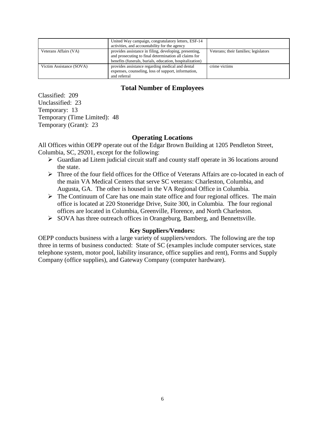|                          | United Way campaign, congratulatory letters, ESF-14<br>activities, and accountability for the agency                                                                        |                                       |
|--------------------------|-----------------------------------------------------------------------------------------------------------------------------------------------------------------------------|---------------------------------------|
| Veterans Affairs (VA)    | provides assistance in filing, developing, presenting,<br>and prosecuting to final determination all claims for<br>benefits (funerals, burials, education, hospitalization) | Veterans; their families; legislators |
| Victim Assistance (SOVA) | provides assistance regarding medical and dental<br>expenses, counseling, loss of support, information,<br>and referral                                                     | crime victims                         |

# **Total Number of Employees**

Classified: 209 Unclassified: 23 Temporary: 13 Temporary (Time Limited): 48 Temporary (Grant): 23

# **Operating Locations**

All Offices within OEPP operate out of the Edgar Brown Building at 1205 Pendleton Street, Columbia, SC, 29201, except for the following:

- $\triangleright$  Guardian ad Litem judicial circuit staff and county staff operate in 36 locations around the state.
- $\triangleright$  Three of the four field offices for the Office of Veterans Affairs are co-located in each of the main VA Medical Centers that serve SC veterans: Charleston, Columbia, and Augusta, GA. The other is housed in the VA Regional Office in Columbia.
- $\triangleright$  The Continuum of Care has one main state office and four regional offices. The main office is located at 220 Stoneridge Drive, Suite 300, in Columbia. The four regional offices are located in Columbia, Greenville, Florence, and North Charleston.
- SOVA has three outreach offices in Orangeburg, Bamberg, and Bennettsville.

#### **Key Suppliers/Vendors:**

OEPP conducts business with a large variety of suppliers/vendors. The following are the top three in terms of business conducted: State of SC (examples include computer services, state telephone system, motor pool, liability insurance, office supplies and rent), Forms and Supply Company (office supplies), and Gateway Company (computer hardware).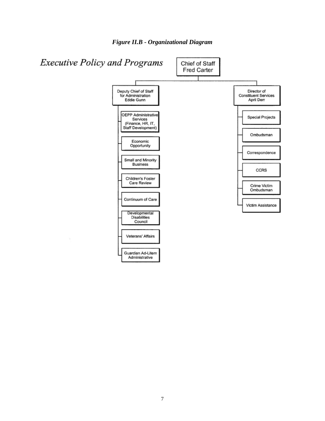

*Figure II.B - Organizational Diagram*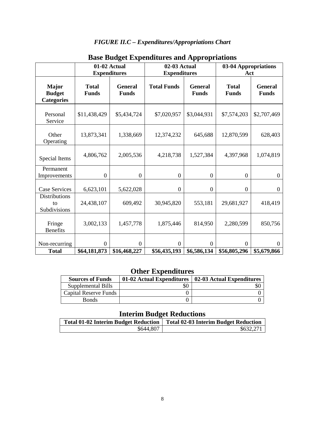# *FIGURE II.C – Expenditures/Appropriations Chart*

|                                                    |                                  | 01-02 Actual<br><b>Expenditures</b> | 02-03 Actual<br><b>Expenditures</b> |                                | 03-04 Appropriations<br>Act  |                                |
|----------------------------------------------------|----------------------------------|-------------------------------------|-------------------------------------|--------------------------------|------------------------------|--------------------------------|
| <b>Major</b><br><b>Budget</b><br><b>Categories</b> | <b>Total</b><br><b>Funds</b>     | <b>General</b><br><b>Funds</b>      | <b>Total Funds</b>                  | <b>General</b><br><b>Funds</b> | <b>Total</b><br><b>Funds</b> | <b>General</b><br><b>Funds</b> |
| Personal<br>Service                                | \$11,438,429                     | \$5,434,724                         | \$7,020,957                         | \$3,044,931                    | \$7,574,203                  | \$2,707,469                    |
| Other<br>Operating                                 | 13,873,341                       | 1,338,669                           | 12,374,232                          | 645,688                        | 12,870,599                   | 628,403                        |
| Special Items                                      | 4,806,762                        | 2,005,536                           | 4,218,738                           | 1,527,384                      | 4,397,968                    | 1,074,819                      |
| Permanent<br>Improvements                          | $\boldsymbol{0}$                 | $\boldsymbol{0}$                    | $\boldsymbol{0}$                    | $\boldsymbol{0}$               | $\overline{0}$               | $\boldsymbol{0}$               |
| Case Services                                      | 6,623,101                        | 5,622,028                           | $\boldsymbol{0}$                    | $\boldsymbol{0}$               | $\overline{0}$               | $\boldsymbol{0}$               |
| <b>Distributions</b><br>to<br>Subdivisions         | 24,438,107                       | 609,492                             | 30,945,820                          | 553,181                        | 29,681,927                   | 418,419                        |
| Fringe<br><b>Benefits</b>                          | 3,002,133                        | 1,457,778                           | 1,875,446                           | 814,950                        | 2,280,599                    | 850,756                        |
| Non-recurring<br><b>Total</b>                      | $\boldsymbol{0}$<br>\$64,181,873 | $\Omega$<br>\$16,468,227            | 0<br>\$56,435,193                   | $\Omega$<br>\$6,586,134        | $\Omega$<br>\$56,805,296     | $\Omega$<br>\$5,679,866        |

# **Base Budget Expenditures and Appropriations**

# **Other Expenditures**

| <b>Sources of Funds</b> | 01-02 Actual Expenditures | 02-03 Actual Expenditures |
|-------------------------|---------------------------|---------------------------|
| Supplemental Bills      | \$0                       |                           |
| Capital Reserve Funds   |                           |                           |
| <b>Bonds</b>            |                           |                           |

# **Interim Budget Reductions**

| Total 01-02 Interim Budget Reduction | <b>Total 02-03 Interim Budget Reduction</b> |
|--------------------------------------|---------------------------------------------|
| \$644,807                            | \$632,271                                   |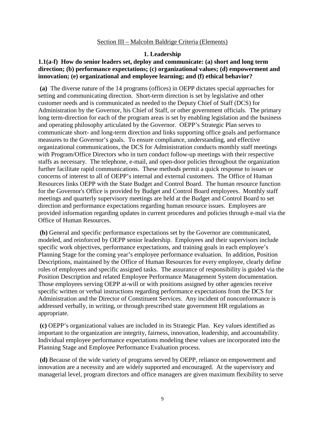#### Section III – Malcolm Baldrige Criteria (Elements)

#### **1. Leadership**

#### **1.1(a-f) How do senior leaders set, deploy and communicate: (a) short and long term direction; (b) performance expectations; (c) organizational values; (d) empowerment and innovation; (e) organizational and employee learning; and (f) ethical behavior?**

**(a)** The diverse nature of the 14 programs (offices) in OEPP dictates special approaches for setting and communicating direction. Short-term direction is set by legislative and other customer needs and is communicated as needed to the Deputy Chief of Staff (DCS) for Administration by the Governor, his Chief of Staff, or other government officials. The primary long term-direction for each of the program areas is set by enabling legislation and the business and operating philosophy articulated by the Governor. OEPP's Strategic Plan serves to communicate short- and long-term direction and links supporting office goals and performance measures to the Governor's goals. To ensure compliance, understanding, and effective organizational communications, the DCS for Administration conducts monthly staff meetings with Program/Office Directors who in turn conduct follow-up meetings with their respective staffs as necessary. The telephone, e-mail, and open-door policies throughout the organization further facilitate rapid communications. These methods permit a quick response to issues or concerns of interest to all of OEPP's internal and external customers. The Office of Human Resources links OEPP with the State Budget and Control Board. The human resource function for the Governor's Office is provided by Budget and Control Board employees. Monthly staff meetings and quarterly supervisory meetings are held at the Budget and Control Board to set direction and performance expectations regarding human resource issues. Employees are provided information regarding updates in current procedures and policies through e-mail via the Office of Human Resources.

**(b)** General and specific performance expectations set by the Governor are communicated, modeled, and reinforced by OEPP senior leadership. Employees and their supervisors include specific work objectives, performance expectations, and training goals in each employee's Planning Stage for the coming year's employee performance evaluation. In addition, Position Descriptions, maintained by the Office of Human Resources for every employee, clearly define roles of employees and specific assigned tasks. The assurance of responsibility is guided via the Position Description and related Employee Performance Management System documentation. Those employees serving OEPP at-will or with positions assigned by other agencies receive specific written or verbal instructions regarding performance expectations from the DCS for Administration and the Director of Constituent Services. Any incident of nonconformance is addressed verbally, in writing, or through prescribed state government HR regulations as appropriate.

**(c)** OEPP's organizational values are included in its Strategic Plan. Key values identified as important to the organization are integrity, fairness, innovation, leadership, and accountability. Individual employee performance expectations modeling these values are incorporated into the Planning Stage and Employee Performance Evaluation process.

**(d)** Because of the wide variety of programs served by OEPP, reliance on empowerment and innovation are a necessity and are widely supported and encouraged. At the supervisory and managerial level, program directors and office managers are given maximum flexibility to serve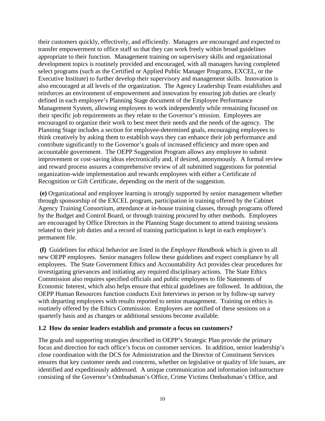their customers quickly, effectively, and efficiently. Managers are encouraged and expected to transfer empowerment to office staff so that they can work freely within broad guidelines appropriate to their function. Management training on supervisory skills and organizational development topics is routinely provided and encouraged, with all managers having completed select programs (such as the Certified or Applied Public Manager Programs, EXCEL, or the Executive Institute) to further develop their supervisory and management skills. Innovation is also encouraged at all levels of the organization. The Agency Leadership Team establishes and reinforces an environment of empowerment and innovation by ensuring job duties are clearly defined in each employee's Planning Stage document of the Employee Performance Management System, allowing employees to work independently while remaining focused on their specific job requirements as they relate to the Governor's mission. Employees are encouraged to organize their work to best meet their needs and the needs of the agency. The Planning Stage includes a section for employee-determined goals, encouraging employees to think creatively by asking them to establish ways they can enhance their job performance and contribute significantly to the Governor's goals of increased efficiency and more open and accountable government. The OEPP Suggestion Program allows any employee to submit improvement or cost-saving ideas electronically and, if desired, anonymously. A formal review and reward process assures a comprehensive review of all submitted suggestions for potential organization-wide implementation and rewards employees with either a Certificate of Recognition or Gift Certificate, depending on the merit of the suggestion.

**(e)** Organizational and employee learning is strongly supported by senior management whether through sponsorship of the EXCEL program, participation in training offered by the Cabinet Agency Training Consortium, attendance at in-house training classes, through programs offered by the Budget and Control Board, or through training procured by other methods. Employees are encouraged by Office Directors in the Planning Stage document to attend training sessions related to their job duties and a record of training participation is kept in each employee's permanent file.

**(f)** Guidelines for ethical behavior are listed in the *Employee Handboo*k which is given to all new OEPP employees. Senior managers follow these guidelines and expect compliance by all employees. The State Government Ethics and Accountability Act provides clear procedures for investigating grievances and initiating any required disciplinary actions. The State Ethics Commission also requires specified officials and public employees to file Statements of Economic Interest, which also helps ensure that ethical guidelines are followed. In addition, the OEPP Human Resources function conducts Exit Interviews in person or by follow-up survey with departing employees with results reported to senior management. Training on ethics is routinely offered by the Ethics Commission. Employees are notified of these sessions on a quarterly basis and as changes or additional sessions become available.

#### **1.2 How do senior leaders establish and promote a focus on customers?**

The goals and supporting strategies described in OEPP's Strategic Plan provide the primary focus and direction for each office's focus on customer services. In addition, senior leadership's close coordination with the DCS for Administration and the Director of Constituent Services ensures that key customer needs and concerns, whether on legislative or quality of life issues, are identified and expeditiously addressed. A unique communication and information infrastructure consisting of the Governor's Ombudsman's Office, Crime Victims Ombudsman's Office, and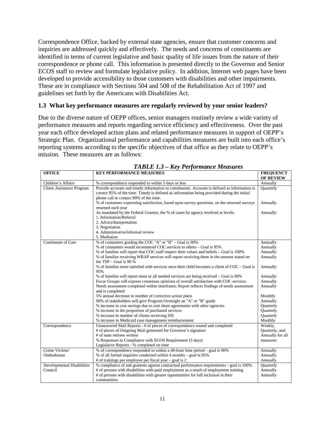Correspondence Office, backed by external state agencies, ensure that customer concerns and inquiries are addressed quickly and effectively. The needs and concerns of constituents are identified in terms of current legislative and basic quality of life issues from the nature of their correspondence or phone call. This information is presented directly to the Governor and Senior ECOS staff to review and formulate legislative policy. In addition, Internet web pages have been developed to provide accessibility to those customers with disabilities and other impairments. These are in compliance with Sections 504 and 508 of the Rehabilitation Act of 1997 and guidelines set forth by the Americans with Disabilities Act.

#### **1.3 What key performance measures are regularly reviewed by your senior leaders?**

Due to the diverse nature of OEPP offices, senior managers routinely review a wide variety of performance measures and reports regarding service efficiency and effectiveness. Over the past year each office developed action plans and related performance measures in support of OEPP's Strategic Plan. Organizational performance and capabilities measures are built into each office's reporting systems according to the specific objectives of that office as they relate to OEPP's mission. These measures are as follows:

| $IADLL$ 1.5 – Rey I erjormance measures |                                                                                                |                  |  |
|-----------------------------------------|------------------------------------------------------------------------------------------------|------------------|--|
| <b>OFFICE</b>                           | <b>KEY PERFORMANCE MEASURES</b>                                                                | <b>FREQUENCY</b> |  |
|                                         |                                                                                                | <b>OF REVIEW</b> |  |
| Children's Affairs                      | % correspondence responded to within 5 days or less                                            | Annually         |  |
| <b>Client Assistance Program</b>        | Provide accurate and timely information to constituents. Accurate is defined as information is | Quarterly        |  |
|                                         | correct 95% of the time. Timely is defined as information being provided during the initial    |                  |  |
|                                         | phone call or contact 90% of the time.                                                         |                  |  |
|                                         | % of customers expressing satisfaction, based upon survey questions, on the returned surveys   | Annually         |  |
|                                         | returned each year                                                                             |                  |  |
|                                         | As mandated by the Federal Grantee, the % of cases by agency resolved at levels:               | Annually         |  |
|                                         | 1. Information/Referral                                                                        |                  |  |
|                                         | 2. Advice/Interpretation                                                                       |                  |  |
|                                         | 3. Negotiation                                                                                 |                  |  |
|                                         | 4. Administrative/informal review                                                              |                  |  |
|                                         | 5. Mediation                                                                                   |                  |  |
| Continuum of Care                       | % of consumers grading the COC "A" or "B" – Goal is 90%                                        | Annually         |  |
|                                         | % of consumers would recommend COC services to others - Goal is 95%                            | Annually         |  |
|                                         | % of families will report that COC staff respect their values and beliefs – Goal is 100%       | Annually         |  |
|                                         | % of families receiving WRAP services will report receiving them in the amount stated on       | Annually         |  |
|                                         | the $TSP - Goal$ is 90 %                                                                       |                  |  |
|                                         | % of families more satisfied with services once their child becomes a client of COC – Goal is  | Annually         |  |
|                                         | 95%                                                                                            |                  |  |
|                                         | % of families will report most or all needed services are being received – Goal is 90%         | Annually         |  |
|                                         | Focus Groups will express consensus opinions of overall satisfaction with COC services         | Annually         |  |
|                                         | Needs assessment completed within timeframe; Report reflects findings of needs assessment      | Annually         |  |
|                                         | and is completed                                                                               |                  |  |
|                                         | 5% annual decrease in number of corrective action plans                                        | Monthly          |  |
|                                         | 90% of stakeholders will give Program Oversight an "A" or "B" grade                            | Annually         |  |
|                                         | % increase in cost savings due to cost share agreements with other agencies                    | Quarterly        |  |
|                                         | % increase in the proportion of purchased services                                             | Quarterly        |  |
|                                         | % increase in number of clients receiving SSI                                                  | Quarterly        |  |
|                                         | % increase in Medicaid case management reimbursement                                           | Monthly          |  |
| Correspondence                          | Unanswered Mail Reports - # of pieces of correspondence routed and completed                   | Weekly,          |  |
|                                         | # of pieces of Outgoing Mail generated for Governor's signature                                | Quarterly, and   |  |
|                                         | # of state retirees written                                                                    | Annually for all |  |
|                                         | % Responses in Compliance with ECOS Requirement (5 days)                                       | measures         |  |
|                                         | Legislative Reports - % completed on time                                                      |                  |  |
| Crime Victims'                          | % of correspondence responded to within a 48-hour time period – goal is 90%                    | Annually         |  |
| Ombudsman                               | % of all formal inquiries conducted within 4 months - goal is 95%                              | Annually         |  |
|                                         | # of trainings per employee per fiscal year $-$ goal is 2                                      | Annually         |  |
| <b>Developmental Disabilities</b>       | % compliance of sub grantees against contractual performance requirements – goal is 100%       | <b>Ouarterly</b> |  |
| Council                                 | # of persons with disabilities with paid employment as a result of employment training         | Annually         |  |
|                                         | # of persons with disabilities with greater opportunities for full inclusion in their          | Annually         |  |
|                                         | communities                                                                                    |                  |  |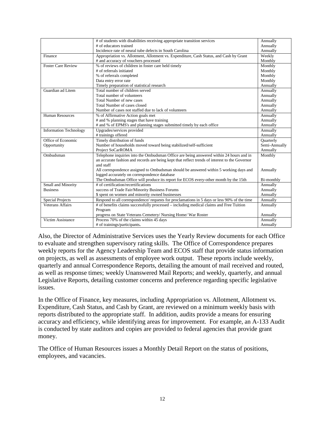|                               | # of students with disabilities receiving appropriate transition services                      | Annually      |
|-------------------------------|------------------------------------------------------------------------------------------------|---------------|
|                               | # of educators trained                                                                         | Annually      |
|                               | Incidence rate of neural tube defects in South Carolina                                        | Annually      |
|                               | Appropriation vs. Allotment, Allotment vs. Expenditure, Cash Status, and Cash by Grant         | Weekly        |
| Finance                       |                                                                                                |               |
|                               | # and accuracy of vouchers processed                                                           | Monthly       |
| <b>Foster Care Review</b>     | % of reviews of children in foster care held timely                                            | Monthly       |
|                               | # of referrals initiated                                                                       | Monthly       |
|                               | % of referrals completed                                                                       | Monthly       |
|                               | Data entry error rate                                                                          | Monthly       |
|                               | Timely preparation of statistical research                                                     | Annually      |
| Guardian ad Litem             | Total number of children served                                                                | Annually      |
|                               | Total number of volunteers                                                                     | Annually      |
|                               | Total Number of new cases                                                                      | Annually      |
|                               | Total Number of cases closed                                                                   | Annually      |
|                               | Number of cases not staffed due to lack of volunteers                                          | Annually      |
| <b>Human Resources</b>        | % of Affirmative Action goals met                                                              | Annually      |
|                               | # and % planning stages that have training                                                     | Annually      |
|                               | # and % of EPMS's and planning stages submitted timely by each office                          | Annually      |
| <b>Information Technology</b> | Upgrades/services provided                                                                     | Annually      |
|                               | # trainings offered                                                                            | Annually      |
| Office of Economic            | Timely distribution of funds                                                                   | Quarterly     |
| Opportunity                   | Number of households moved toward being stabilized/self-sufficient                             | Semi-Annually |
|                               | Project SoCarROMA                                                                              | Annually      |
| Ombudsman                     | Telephone inquiries into the Ombudsman Office are being answered within 24 hours and in        | Monthly       |
|                               | an accurate fashion and records are being kept that reflect trends of interest to the Governor |               |
|                               | and staff                                                                                      |               |
|                               | All correspondence assigned to Ombudsman should be answered within 5 working days and          | Annually      |
|                               | logged accurately on correspondence database                                                   |               |
|                               | The Ombudsman Office will produce its report for ECOS every-other month by the 15th            | Bi-monthly    |
| <b>Small and Minority</b>     | # of certification/recertifications                                                            | Annually      |
| <b>Business</b>               | success of Trade Fair/Minority Business Forums                                                 | Annually      |
|                               | \$ spent on women and minority owned businesses                                                | Annually      |
| <b>Special Projects</b>       | Respond to all correspondence/ requests for proclamations in 5 days or less 90% of the time    | Annually      |
| <b>Veterans Affairs</b>       | # of benefits claims successfully processed – including medical claims and Free Tuition        | Annually      |
|                               | Program                                                                                        |               |
|                               | progress on State Veterans Cemetery/ Nursing Home/ War Roster                                  | Annually      |
| Victim Assistance             | Process 70% of the claims within 45 days                                                       | Annually      |
|                               |                                                                                                |               |
|                               | # of trainings/participants.                                                                   | Annually      |

Also, the Director of Administrative Services uses the Yearly Review documents for each Office to evaluate and strengthen supervisory rating skills. The Office of Correspondence prepares weekly reports for the Agency Leadership Team and ECOS staff that provide status information on projects, as well as assessments of employee work output. These reports include weekly, quarterly and annual Correspondence Reports, detailing the amount of mail received and routed, as well as response times; weekly Unanswered Mail Reports; and weekly, quarterly, and annual Legislative Reports, detailing customer concerns and preference regarding specific legislative issues.

In the Office of Finance, key measures, including Appropriation vs. Allotment, Allotment vs. Expenditure, Cash Status, and Cash by Grant, are reviewed on a minimum weekly basis with reports distributed to the appropriate staff. In addition, audits provide a means for ensuring accuracy and efficiency, while identifying areas for improvement. For example, an A-133 Audit is conducted by state auditors and copies are provided to federal agencies that provide grant money.

The Office of Human Resources issues a Monthly Detail Report on the status of positions, employees, and vacancies.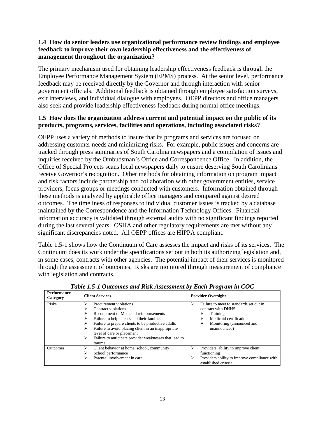# **1.4 How do senior leaders use organizational performance review findings and employee feedback to improve their own leadership effectiveness and the effectiveness of management throughout the organization?**

The primary mechanism used for obtaining leadership effectiveness feedback is through the Employee Performance Management System (EPMS) process. At the senior level, performance feedback may be received directly by the Governor and through interaction with senior government officials. Additional feedback is obtained through employee satisfaction surveys, exit interviews, and individual dialogue with employees. OEPP directors and office managers also seek and provide leadership effectiveness feedback during normal office meetings.

#### **1.5 How does the organization address current and potential impact on the public of its products, programs, services, facilities and operations, including associated risks?**

OEPP uses a variety of methods to insure that its programs and services are focused on addressing customer needs and minimizing risks. For example, public issues and concerns are tracked through press summaries of South Carolina newspapers and a compilation of issues and inquiries received by the Ombudsman's Office and Correspondence Office. In addition, the Office of Special Projects scans local newspapers daily to ensure deserving South Carolinians receive Governor's recognition. Other methods for obtaining information on program impact and risk factors include partnership and collaboration with other government entities, service providers, focus groups or meetings conducted with customers. Information obtained through these methods is analyzed by applicable office managers and compared against desired outcomes. The timeliness of responses to individual customer issues is tracked by a database maintained by the Correspondence and the Information Technology Offices. Financial information accuracy is validated through external audits with no significant findings reported during the last several years. OSHA and other regulatory requirements are met without any significant discrepancies noted. All OEPP offices are HIPPA compliant.

Table 1.5-1 shows how the Continuum of Care assesses the impact and risks of its services. The Continuum does its work under the specifications set out in both its authorizing legislation and, in some cases, contracts with other agencies. The potential impact of their services is monitored through the assessment of outcomes. Risks are monitored through measurement of compliance with legislation and contracts.

| <b>Performance</b><br>Category | <b>Client Services</b>                                                                                                                                                                                                                                                                                                                                                                 | <b>Provider Oversight</b>                                                                                                                                             |
|--------------------------------|----------------------------------------------------------------------------------------------------------------------------------------------------------------------------------------------------------------------------------------------------------------------------------------------------------------------------------------------------------------------------------------|-----------------------------------------------------------------------------------------------------------------------------------------------------------------------|
| <b>Risks</b>                   | Procurement violations<br>⋗<br>Contract violations<br>⋗<br>Recoupment of Medicaid reimbursements<br>⋗<br>Failure to help clients and their families<br>⋗<br>Failure to prepare clients to be productive adults<br>⋗<br>Failure to avoid placing client in an inappropriate<br>⋗<br>level of care or placement<br>Failure to anticipate provider weaknesses that lead to<br>⋗<br>trauma | Failure to meet to standards set out in<br>⋗<br>contract with DHHS:<br>Training<br>⋗<br>Medicaid certification<br>⋗<br>Monitoring (announced and<br>⋗<br>unannounced) |
| <b>Outcomes</b>                | Client behavior at home, school, community<br>⋗<br>School performance<br>⋗<br>Parental involvement in care<br>⋗                                                                                                                                                                                                                                                                        | Providers' ability to improve client<br>➤<br>functioning<br>Providers ability to improve compliance with<br>➤<br>established criteria                                 |

*Table 1.5-1 Outcomes and Risk Assessment by Each Program in COC*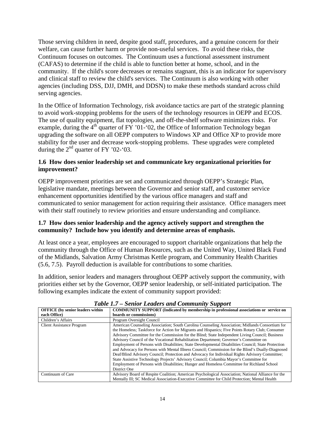Those serving children in need, despite good staff, procedures, and a genuine concern for their welfare, can cause further harm or provide non-useful services. To avoid these risks, the Continuum focuses on outcomes. The Continuum uses a functional assessment instrument (CAFAS) to determine if the child is able to function better at home, school, and in the community. If the child's score decreases or remains stagnant, this is an indicator for supervisory and clinical staff to review the child's services. The Continuum is also working with other agencies (including DSS, DJJ, DMH, and DDSN) to make these methods standard across child serving agencies.

In the Office of Information Technology, risk avoidance tactics are part of the strategic planning to avoid work-stopping problems for the users of the technology resources in OEPP and ECOS. The use of quality equipment, flat topologies, and off-the-shelf software minimizes risks. For example, during the  $4<sup>th</sup>$  quarter of FY '01-'02, the Office of Information Technology began upgrading the software on all OEPP computers to Windows XP and Office XP to provide more stability for the user and decrease work-stopping problems. These upgrades were completed during the  $2<sup>nd</sup>$  quarter of FY '02-'03.

# **1.6 How does senior leadership set and communicate key organizational priorities for improvement?**

OEPP improvement priorities are set and communicated through OEPP's Strategic Plan, legislative mandate, meetings between the Governor and senior staff, and customer service enhancement opportunities identified by the various office managers and staff and communicated to senior management for action requiring their assistance. Office managers meet with their staff routinely to review priorities and ensure understanding and compliance.

#### **1.7 How does senior leadership and the agency actively support and strengthen the community? Include how you identify and determine areas of emphasis.**

At least once a year, employees are encouraged to support charitable organizations that help the community through the Office of Human Resources, such as the United Way, United Black Fund of the Midlands, Salvation Army Christmas Kettle program, and Community Health Charities (5.6, 7.5). Payroll deduction is available for contributions to some charities.

In addition, senior leaders and managers throughout OEPP actively support the community, with priorities either set by the Governor, OEPP senior leadership, or self-initiated participation. The following examples indicate the extent of community support provided:

| <b>OFFICE</b> (by senior leaders within | <b>COMMUNITY SUPPORT</b> (Indicated by membership in professional associations or service on                                                                                                                                                                                                                                                                                                                                                                                                                                                                                                                                                                                                                                                                                                                                                                                                                         |
|-----------------------------------------|----------------------------------------------------------------------------------------------------------------------------------------------------------------------------------------------------------------------------------------------------------------------------------------------------------------------------------------------------------------------------------------------------------------------------------------------------------------------------------------------------------------------------------------------------------------------------------------------------------------------------------------------------------------------------------------------------------------------------------------------------------------------------------------------------------------------------------------------------------------------------------------------------------------------|
| each Office)                            | boards or commissions)                                                                                                                                                                                                                                                                                                                                                                                                                                                                                                                                                                                                                                                                                                                                                                                                                                                                                               |
| Children's Affairs                      | Program Oversight Council                                                                                                                                                                                                                                                                                                                                                                                                                                                                                                                                                                                                                                                                                                                                                                                                                                                                                            |
| <b>Client Assistance Program</b>        | American Counseling Association; South Carolina Counseling Association; Midlands Consortium for<br>the Homeless; Taskforce for Action for Migrants and Hispanics; Five Points Rotary Club; Consumer<br>Advisory Committee for the Commission for the Blind; State Independent Living Council; Business<br>Advisory Council of the Vocational Rehabilitation Department; Governor's Committee on<br>Employment of Persons with Disabilities; State Developmental Disabilities Council; State Protection<br>and Advocacy for Persons with Mental Illness Council; Commission for the Blind's Dually-Diagnosed<br>Deaf/Blind Advisory Council; Protection and Advocacy for Individual Rights Advisory Committee;<br>State Assistive Technology Projects' Advisory Council; Columbia Mayor's Committee for<br>Employment of Persons with Disabilities; Hunger and Homeless Committee for Richland School<br>District One |
| Continuum of Care                       | Advisory Board of Respite Coalition; American Psychological Association; National Alliance for the<br>Mentally Ill; SC Medical Association-Executive Committee for Child Protection; Mental Health                                                                                                                                                                                                                                                                                                                                                                                                                                                                                                                                                                                                                                                                                                                   |

*Table 1.7 – Senior Leaders and Community Support*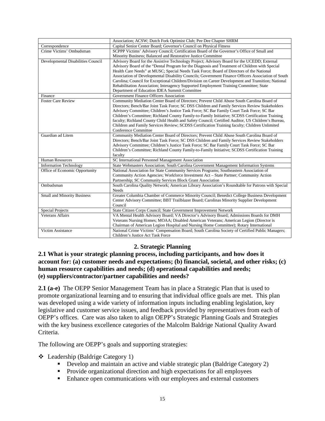|                                                    | Association; ACSW; Dutch Fork Optimist Club; Pee Dee Chapter SHRM                                    |  |
|----------------------------------------------------|------------------------------------------------------------------------------------------------------|--|
| Correspondence                                     | Capital Senior Center Board; Governor's Council on Physical Fitness                                  |  |
| Crime Victims' Ombudsman                           | SCPPP Victims' Advisory Council; Certification Board of the Governor's Office of Small and           |  |
|                                                    | Minority Business; Balanced and Restorative Justice Committee                                        |  |
| Developmental Disabilities Council                 | Advisory Board for the Assistive Technology Project; Advisory Board for the UCEDD; External          |  |
|                                                    | Advisory Board of the "Dental Program for the Diagnosis and Treatment of Children with Special       |  |
|                                                    | Health Care Needs" at MUSC; Special Needs Task Force; Board of Directors of the National             |  |
|                                                    | Association of Developmental Disability Councils; Government Finance Officers Association of South   |  |
|                                                    | Carolina; Council for Exceptional Children/Division on Career Development and Transition; National   |  |
|                                                    | Rehabilitation Association; Interagency Supported Employment Training Committee; State               |  |
|                                                    | Department of Education IDEA Summit Committee                                                        |  |
| Finance                                            | Government Finance Officers Association                                                              |  |
| <b>Foster Care Review</b>                          | Community Mediation Center Board of Directors; Prevent Child Abuse South Carolina Board of           |  |
|                                                    | Directors; Bench/Bar Joint Task Force; SC DSS Children and Family Services Review Stakeholders       |  |
|                                                    | Advisory Committee; Children's Justice Task Force; SC Bar Family Court Task Force; SC Bar            |  |
|                                                    | Children's Committee; Richland County Family-to-Family Initiative; SCDSS Certification Training      |  |
|                                                    | faculty; Richland County Child Health and Safety Council; Certified Auditor, US Children's Bureau,   |  |
|                                                    | Children and Family Services Review; SCDSS Certification Training faculty; Children Unlimited        |  |
|                                                    | Conference Committee                                                                                 |  |
| Guardian ad Litem                                  | Community Mediation Center Board of Directors; Prevent Child Abuse South Carolina Board of           |  |
|                                                    | Directors; Bench/Bar Joint Task Force; SC DSS Children and Family Services Review Stakeholders       |  |
|                                                    | Advisory Committee; Children's Justice Task Force; SC Bar Family Court Task Force; SC Bar            |  |
|                                                    | Children's Committee; Richland County Family-to-Family Initiative; SCDSS Certification Training      |  |
|                                                    | faculty                                                                                              |  |
| <b>Human Resources</b>                             | SC International Personnel Management Association                                                    |  |
| <b>Information Technology</b>                      | State Webmasters Association; South Carolina Government Management Information Systems               |  |
| Office of Economic Opportunity                     | National Association for State Community Services Programs; Southeastern Association of              |  |
|                                                    | Community Action Agencies; Workforce Investment Act – State Partner; Community Action                |  |
|                                                    | Partnership; SC Community Services Block Grant Association                                           |  |
| Ombudsman                                          | South Carolina Quality Network; American Library Association's Roundtable for Patrons with Special   |  |
|                                                    | Needs                                                                                                |  |
| <b>Small and Minority Business</b>                 | Greater Columbia Chamber of Commerce Minority Council; Benedict College Business Development         |  |
|                                                    | Center Advisory Committee; BBT Trailblazer Board; Carolinas Minority Supplier Development<br>Council |  |
|                                                    | State Citizen Corps Council; State Government Improvement Network                                    |  |
| <b>Special Projects</b><br><b>Veterans Affairs</b> |                                                                                                      |  |
|                                                    | VA Mental Health Advisory Board; VA Director's Advisory Board; Admissions Boards for DMH             |  |
|                                                    | Veterans Nursing Homes; MOAA; Disabled American Veterans; American Legion (Director is               |  |
|                                                    | Chairman of American Legion Hospital and Nursing Home Committee); Rotary International               |  |
| Victim Assistance                                  | National Crime Victims' Compensation Board; South Carolina Society of Certified Public Managers;     |  |
|                                                    | Children's Justice Act Task Force                                                                    |  |

# **2. Strategic Planning**

#### **2.1 What is your strategic planning process, including participants, and how does it account for: (a) customer needs and expectations; (b) financial, societal, and other risks; (c) human resource capabilities and needs; (d) operational capabilities and needs; (e) suppliers/contractor/partner capabilities and needs?**

**2.1 (a-e)** The OEPP Senior Management Team has in place a Strategic Plan that is used to promote organizational learning and to ensuring that individual office goals are met. This plan was developed using a wide variety of information inputs including enabling legislation, key legislative and customer service issues, and feedback provided by representatives from each of OEPP's offices. Care was also taken to align OEPP's Strategic Planning Goals and Strategies with the key business excellence categories of the Malcolm Baldrige National Quality Award Criteria.

The following are OEPP's goals and supporting strategies:

# Leadership (Baldrige Category 1)

- Develop and maintain an active and viable strategic plan (Baldrige Category 2)
- Provide organizational direction and high expectations for all employees
- Enhance open communications with our employees and external customers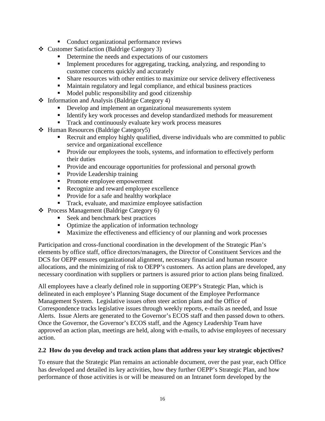- Conduct organizational performance reviews
- Customer Satisfaction (Baldrige Category 3)
	- Determine the needs and expectations of our customers
	- Implement procedures for aggregating, tracking, analyzing, and responding to customer concerns quickly and accurately
	- **Share resources with other entities to maximize our service delivery effectiveness**
	- Maintain regulatory and legal compliance, and ethical business practices
	- Model public responsibility and good citizenship
- Information and Analysis (Baldrige Category 4)
	- Develop and implement an organizational measurements system
	- Identify key work processes and develop standardized methods for measurement
	- Track and continuously evaluate key work process measures
- Human Resources (Baldrige Category5)
	- Recruit and employ highly qualified, diverse individuals who are committed to public service and organizational excellence
	- **Provide our employees the tools, systems, and information to effectively perform** their duties
	- **Provide and encourage opportunities for professional and personal growth**
	- Provide Leadership training
	- Promote employee empowerment
	- Recognize and reward employee excellence
	- **Provide for a safe and healthy workplace**
	- **Track, evaluate, and maximize employee satisfaction**
- Process Management (Baldrige Category 6)
	- Seek and benchmark best practices
	- Optimize the application of information technology
	- **Maximize the effectiveness and efficiency of our planning and work processes**

Participation and cross-functional coordination in the development of the Strategic Plan's elements by office staff, office directors/managers, the Director of Constituent Services and the DCS for OEPP ensures organizational alignment, necessary financial and human resource allocations, and the minimizing of risk to OEPP's customers. As action plans are developed, any necessary coordination with suppliers or partners is assured prior to action plans being finalized.

All employees have a clearly defined role in supporting OEPP's Strategic Plan, which is delineated in each employee's Planning Stage document of the Employee Performance Management System. Legislative issues often steer action plans and the Office of Correspondence tracks legislative issues through weekly reports, e-mails as needed, and Issue Alerts. Issue Alerts are generated to the Governor's ECOS staff and then passed down to others. Once the Governor, the Governor's ECOS staff, and the Agency Leadership Team have approved an action plan, meetings are held, along with e-mails, to advise employees of necessary action.

# **2.2 How do you develop and track action plans that address your key strategic objectives?**

To ensure that the Strategic Plan remains an actionable document, over the past year, each Office has developed and detailed its key activities, how they further OEPP's Strategic Plan, and how performance of those activities is or will be measured on an Intranet form developed by the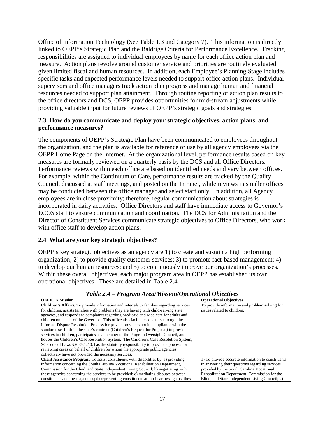Office of Information Technology (See Table 1.3 and Category 7). This information is directly linked to OEPP's Strategic Plan and the Baldrige Criteria for Performance Excellence. Tracking responsibilities are assigned to individual employees by name for each office action plan and measure. Action plans revolve around customer service and priorities are routinely evaluated given limited fiscal and human resources. In addition, each Employee's Planning Stage includes specific tasks and expected performance levels needed to support office action plans. Individual supervisors and office managers track action plan progress and manage human and financial resources needed to support plan attainment. Through routine reporting of action plan results to the office directors and DCS, OEPP provides opportunities for mid-stream adjustments while providing valuable input for future reviews of OEPP's strategic goals and strategies.

#### **2.3 How do you communicate and deploy your strategic objectives, action plans, and performance measures?**

The components of OEPP's Strategic Plan have been communicated to employees throughout the organization, and the plan is available for reference or use by all agency employees via the OEPP Home Page on the Internet. At the organizational level, performance results based on key measures are formally reviewed on a quarterly basis by the DCS and all Office Directors. Performance reviews within each office are based on identified needs and vary between offices. For example, within the Continuum of Care, performance results are tracked by the Quality Council, discussed at staff meetings, and posted on the Intranet, while reviews in smaller offices may be conducted between the office manager and select staff only. In addition, all Agency employees are in close proximity; therefore, regular communication about strategies is incorporated in daily activities. Office Directors and staff have immediate access to Governor's ECOS staff to ensure communication and coordination. The DCS for Administration and the Director of Constituent Services communicate strategic objectives to Office Directors, who work with office staff to develop action plans.

# **2.4 What are your key strategic objectives?**

OEPP's key strategic objectives as an agency are 1) to create and sustain a high performing organization; 2) to provide quality customer services; 3) to promote fact-based management; 4) to develop our human resources; and 5) to continuously improve our organization's processes. Within these overall objectives, each major program area in OEPP has established its own operational objectives. These are detailed in Table 2.4.

| <b>OFFICE/Mission</b>                                                                          | <b>Operational Objectives</b>                      |
|------------------------------------------------------------------------------------------------|----------------------------------------------------|
| <b>Children's Affairs</b> /To provide information and referrals to families regarding services | To provide information and problem solving for     |
| for children, assists families with problems they are having with child-serving state          | issues related to children.                        |
| agencies, and responds to complaints regarding Medicaid and Medicare for adults and            |                                                    |
| children on behalf of the Governor. This office also facilitates disputes through the          |                                                    |
| Informal Dispute Resolution Process for private providers not in compliance with the           |                                                    |
| standards set forth in the state's contract (Children's Request for Proposal) to provide       |                                                    |
| services to children, participates as a member of the Program Oversight Council, and           |                                                    |
| houses the Children's Case Resolution System. The Children's Case Resolution System,           |                                                    |
| SC Code of Laws §20-7-5210, has the statutory responsibility to provide a process for          |                                                    |
| reviewing cases on behalf of children for whom the appropriate public agencies                 |                                                    |
| collectively have not provided the necessary services.                                         |                                                    |
| <b>Client Assistance Program</b> To assist constituents with disabilities by: a) providing     | 1) To provide accurate information to constituents |
| information concerning the South Carolina Vocational Rehabilitation Department,                | in answering their questions regarding services    |
| Commission for the Blind, and State Independent Living Council; b) negotiating with            | provided by the South Carolina Vocational          |
| these agencies concerning the services to be provided; c) mediating disputes between           | Rehabilitation Department, Commission for the      |
| constituents and these agencies; d) representing constituents at fair hearings against these   | Blind, and State Independent Living Council; 2)    |

#### *Table 2.4 – Program Area/Mission/Operational Objectives*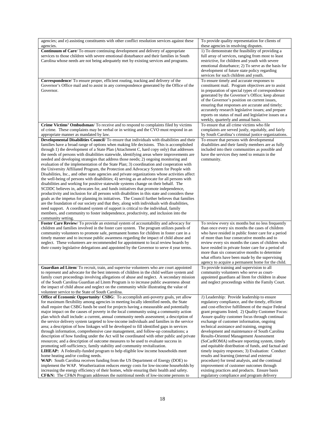| agencies; and e) assisting constituents with other conflict resolution services against these                                                                               | To provide quality representation for clients of                                            |
|-----------------------------------------------------------------------------------------------------------------------------------------------------------------------------|---------------------------------------------------------------------------------------------|
| agencies.                                                                                                                                                                   | these agencies in resolving disputes.                                                       |
| <b>Continuum of Care/</b> To ensure continuing development and delivery of appropriate                                                                                      | 1) To demonstrate the feasibility of providing a                                            |
| services to those children with severe emotional disturbance and their families in South                                                                                    | full array of services, ranging from most to least                                          |
| Carolina whose needs are not being adequately met by existing services and programs.                                                                                        | restrictive, for children and youth with severe                                             |
|                                                                                                                                                                             | emotional disturbance; 2) To serve as the basis for                                         |
|                                                                                                                                                                             | development of future state policy regarding                                                |
|                                                                                                                                                                             | services for such children and youth.                                                       |
| Correspondence/ To ensure proper, efficient routing, tracking and delivery of the                                                                                           | To ensure timely and accurate responses to                                                  |
| Governor's Office mail and to assist in any correspondence generated by the Office of the                                                                                   | constituent mail. Program objectives are to assist                                          |
| Governor.                                                                                                                                                                   | in preparation of special types of correspondence                                           |
|                                                                                                                                                                             | generated by the Governor's Office; keep abreast                                            |
|                                                                                                                                                                             | of the Governor's position on current issues,                                               |
|                                                                                                                                                                             | ensuring that responses are accurate and timely;                                            |
|                                                                                                                                                                             | accurately research legislative issues; and prepare                                         |
|                                                                                                                                                                             | reports on status of mail and legislative issues on a                                       |
|                                                                                                                                                                             | weekly, quarterly and annual basis.                                                         |
| Crime Victims' Ombudsman/ To receive and to respond to complaints filed by victims                                                                                          | To ensure that all crime victims who file                                                   |
| of crime. These complaints may be verbal or in writing and the CVO must respond in an                                                                                       | complaints are served justly, equitably, and fairly                                         |
| appropriate manner as mandated by law.                                                                                                                                      | by South Carolina's criminal justice organizations.                                         |
| Developmental Disabilities Council/To ensure that individuals with disabilities and their                                                                                   | To ensure that persons with developmental                                                   |
| families have a broad range of options when making life decisions. This is accomplished                                                                                     | disabilities and their family members are as fully                                          |
| through 1) the development of a State Plan (Attachment C, hard copy only) that addresses                                                                                    | included into their communities as possible and                                             |
| the needs of persons with disabilities statewide, identifying areas where improvements are                                                                                  | have the services they need to remain in the                                                |
| needed and developing strategies that address those needs; 2) ongoing monitoring and                                                                                        | community.                                                                                  |
| evaluation of the implementation of the State Plan; 3) coordination and cooperation with                                                                                    |                                                                                             |
| the University Affiliated Program, the Protection and Advocacy System for People with                                                                                       |                                                                                             |
| Disabilities, Inc., and other state agencies and private organizations whose activities affect                                                                              |                                                                                             |
| the well-being of persons with disabilities; 4) serving as an advocate for all persons with                                                                                 |                                                                                             |
| disabilities and working for positive statewide systems change on their behalf. The                                                                                         |                                                                                             |
| SCDDC believes in, advocates for, and funds initiatives that promote independence,                                                                                          |                                                                                             |
| productivity and inclusion for all persons with disabilities in this state and considers these                                                                              |                                                                                             |
| goals as the impetus for planning its initiatives. The Council further believes that families                                                                               |                                                                                             |
| are the foundation of our society and that they, along with individuals with disabilities,                                                                                  |                                                                                             |
| need support. A coordinated system of support is critical to the individual, family                                                                                         |                                                                                             |
| members, and community to foster independence, productivity, and inclusion into the                                                                                         |                                                                                             |
| community setting.                                                                                                                                                          |                                                                                             |
| Foster Care Review/To provide an external system of accountability and advocacy for                                                                                         | To review every six months but no less frequently                                           |
| children and families involved in the foster care system. The program utilizes panels of                                                                                    |                                                                                             |
|                                                                                                                                                                             | than once every six months the cases of children                                            |
| community volunteers to promote safe, permanent homes for children in foster care in a                                                                                      | who have resided in public foster care for a period                                         |
| timely manner and to increase public awareness regarding the impact of child abuse and                                                                                      | of more than four consecutive months and to                                                 |
| neglect. These volunteers are recommended for appointment to local review boards by                                                                                         | review every six months the cases of children who                                           |
| their county legislative delegations and appointed by the Governor to serve 4 year terms.                                                                                   | have resided in private foster care for a period of                                         |
|                                                                                                                                                                             | more than six consecutive months to determine                                               |
|                                                                                                                                                                             | what efforts have been made by the supervising                                              |
|                                                                                                                                                                             | agency to acquire a permanent home for the child.                                           |
| Guardian ad Litem/To recruit, train, and supervise volunteers who are court appointed                                                                                       | To provide training and supervision to all                                                  |
| to represent and advocate for the best interests of children in the child welfare system and                                                                                | community volunteers who serve as court-                                                    |
| family court proceedings involving allegations of abuse and neglect. A secondary mission                                                                                    | appointed guardians ad litem for children in abuse                                          |
| of the South Carolina Guardian ad Litem Program is to increase public awareness about                                                                                       | and neglect proceedings within the Family Court.                                            |
| the impact of child abuse and neglect on the community while illustrating the value of                                                                                      |                                                                                             |
| volunteer service to the State of South Carolina.                                                                                                                           |                                                                                             |
| Office of Economic Opportunity/ CSBG: To accomplish anti-poverty goals, yet allow                                                                                           | 1) Leadership: Provide leadership to ensure                                                 |
| for maximum flexibility among agencies in meeting locally identified needs, the State                                                                                       | regulatory compliance, and the timely, efficient                                            |
| shall require that CSBG funds be used for projects having a measurable and potentially                                                                                      | and cost-effective fulfillment of the major Federal                                         |
| major impact on the causes of poverty in the local community using a community action                                                                                       | grant programs listed; 2) Quality Customer Focus:                                           |
| plan which shall include: a current, annual community needs assessment; a description of                                                                                    | Assure quality customer focus through continual                                             |
| the service delivery system targeted to low-income individuals and families in the service                                                                                  | exchange of customer information, ongoing                                                   |
| area; a description of how linkages will be developed to fill identified gaps in services                                                                                   | technical assistance and training, ongoing                                                  |
| through information, comprehensive case management, and follow-up consultations; a                                                                                          | development and maintenance of South Carolina                                               |
| description of how funding under the Act will be coordinated with other public and private                                                                                  | <b>Results-Oriented Management Assessment</b>                                               |
| resources; and a description of outcome measures to be used to evaluate success in                                                                                          | (SoCarROMA) software reporting system, timely                                               |
| promoting self-sufficiency, family stability and community revitalization.                                                                                                  | and equitable distribution of funds, and factual and                                        |
| <b>LIHEAP:</b> A Federally-funded program to help eligible low income households meet                                                                                       | timely inquiry responses; 3) Evaluation: Conduct                                            |
| home heating and/or cooling needs.                                                                                                                                          | results and learning (internal and external                                                 |
| WAP: South Carolina receives funding from the US Department of Energy (DOE) to                                                                                              | procedure) for trend analysis, and the continual                                            |
| implement the WAP. Weatherization reduces energy costs for low-income households by                                                                                         | improvement of customer outcomes through                                                    |
| increasing the energy efficiency of their homes, while ensuring their health and safety.<br>CF&N: The CF&N Program addresses the nutritional needs of low-income persons to | existing practices and products. Ensure basis<br>regulatory compliance and program delivery |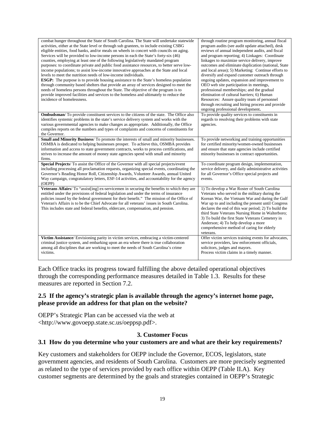| combat hunger throughout the State of South Carolina. The State will undertake statewide<br>activities, either at the State level or through sub grantees, to include existing CSBG<br>eligible entities, food banks, and/or meals on wheels in concert with councils on aging.<br>Services will be provided to low-income persons in each the State's forty-six (46)<br>counties, employing at least one of the following legislatively mandated program<br>purposes: to coordinate private and public food assistance resources, to better serve low-<br>income populations; to assist low-income innovative approaches at the State and local<br>levels to meet the nutrition needs of low-income individuals.<br>ESGP: The purpose is to provide housing assistance to the State's homeless population<br>through community based shelters that provide an array of services designed to meet the<br>needs of homeless persons throughout the State. The objective of the program is to<br>provide improved facilities and services to the homeless and ultimately to reduce the<br>incidence of homelessness. | through routine program monitoring, annual fiscal<br>program audits (see audit update attached), desk<br>reviews of annual independent audits, and fiscal<br>and program reporting; 4) Linkages: Coordinate<br>linkages to maximize service delivery, improve<br>outcomes and eliminate duplication (national, State<br>and local areas); 5) Marketing: Continue efforts to<br>diversify and expand customer outreach through<br>ongoing updates, expansion and improvement to<br>OEO web site participation in meetings,<br>professional memberships; and the gradual<br>elimination of cultural barriers; 6) Human<br>Resources: Assure quality team of personnel<br>through recruiting and hiring process and provide<br>ongoing professional development. |
|--------------------------------------------------------------------------------------------------------------------------------------------------------------------------------------------------------------------------------------------------------------------------------------------------------------------------------------------------------------------------------------------------------------------------------------------------------------------------------------------------------------------------------------------------------------------------------------------------------------------------------------------------------------------------------------------------------------------------------------------------------------------------------------------------------------------------------------------------------------------------------------------------------------------------------------------------------------------------------------------------------------------------------------------------------------------------------------------------------------------|---------------------------------------------------------------------------------------------------------------------------------------------------------------------------------------------------------------------------------------------------------------------------------------------------------------------------------------------------------------------------------------------------------------------------------------------------------------------------------------------------------------------------------------------------------------------------------------------------------------------------------------------------------------------------------------------------------------------------------------------------------------|
| Ombudsman/To provide constituent services to the citizens of the state. The Office also                                                                                                                                                                                                                                                                                                                                                                                                                                                                                                                                                                                                                                                                                                                                                                                                                                                                                                                                                                                                                            | To provide quality services to constituents in                                                                                                                                                                                                                                                                                                                                                                                                                                                                                                                                                                                                                                                                                                                |
| identifies systemic problems in the state's service delivery system and works with the                                                                                                                                                                                                                                                                                                                                                                                                                                                                                                                                                                                                                                                                                                                                                                                                                                                                                                                                                                                                                             | regards to resolving their problems with state                                                                                                                                                                                                                                                                                                                                                                                                                                                                                                                                                                                                                                                                                                                |
| various governmental agencies to make changes as appropriate. Additionally, the Office                                                                                                                                                                                                                                                                                                                                                                                                                                                                                                                                                                                                                                                                                                                                                                                                                                                                                                                                                                                                                             | agencies.                                                                                                                                                                                                                                                                                                                                                                                                                                                                                                                                                                                                                                                                                                                                                     |
| compiles reports on the numbers and types of complaints and concerns of constituents for                                                                                                                                                                                                                                                                                                                                                                                                                                                                                                                                                                                                                                                                                                                                                                                                                                                                                                                                                                                                                           |                                                                                                                                                                                                                                                                                                                                                                                                                                                                                                                                                                                                                                                                                                                                                               |
| the Governor.                                                                                                                                                                                                                                                                                                                                                                                                                                                                                                                                                                                                                                                                                                                                                                                                                                                                                                                                                                                                                                                                                                      |                                                                                                                                                                                                                                                                                                                                                                                                                                                                                                                                                                                                                                                                                                                                                               |
| <b>Small and Minority Business</b> /To promote the interests of small and minority businesses.<br>OSMBA is dedicated to helping businesses prosper. To achieve this, OSMBA provides                                                                                                                                                                                                                                                                                                                                                                                                                                                                                                                                                                                                                                                                                                                                                                                                                                                                                                                                | To provide networking and training opportunities<br>for certified minority/women-owned businesses                                                                                                                                                                                                                                                                                                                                                                                                                                                                                                                                                                                                                                                             |
| information and access to state government contracts, works to process certifications, and                                                                                                                                                                                                                                                                                                                                                                                                                                                                                                                                                                                                                                                                                                                                                                                                                                                                                                                                                                                                                         | and ensure that state agencies include certified                                                                                                                                                                                                                                                                                                                                                                                                                                                                                                                                                                                                                                                                                                              |
| strives to increase the amount of money state agencies spend with small and minority                                                                                                                                                                                                                                                                                                                                                                                                                                                                                                                                                                                                                                                                                                                                                                                                                                                                                                                                                                                                                               | minority businesses in contract opportunities.                                                                                                                                                                                                                                                                                                                                                                                                                                                                                                                                                                                                                                                                                                                |
| firms.                                                                                                                                                                                                                                                                                                                                                                                                                                                                                                                                                                                                                                                                                                                                                                                                                                                                                                                                                                                                                                                                                                             |                                                                                                                                                                                                                                                                                                                                                                                                                                                                                                                                                                                                                                                                                                                                                               |
| <b>Special Projects/</b> To assist the Office of the Governor with all special projects/event                                                                                                                                                                                                                                                                                                                                                                                                                                                                                                                                                                                                                                                                                                                                                                                                                                                                                                                                                                                                                      | To coordinate program design, implementation,                                                                                                                                                                                                                                                                                                                                                                                                                                                                                                                                                                                                                                                                                                                 |
| including processing all proclamation requests, organizing special events, coordinating the                                                                                                                                                                                                                                                                                                                                                                                                                                                                                                                                                                                                                                                                                                                                                                                                                                                                                                                                                                                                                        | service delivery, and daily administrative activities                                                                                                                                                                                                                                                                                                                                                                                                                                                                                                                                                                                                                                                                                                         |
| Governor's Reading Honor Roll, Citizenship Awards, Volunteer Awards, annual United                                                                                                                                                                                                                                                                                                                                                                                                                                                                                                                                                                                                                                                                                                                                                                                                                                                                                                                                                                                                                                 | for all Governor's Office special projects and                                                                                                                                                                                                                                                                                                                                                                                                                                                                                                                                                                                                                                                                                                                |
| Way campaign, congratulatory letters, ESF-14 activities, and accountability for the agency                                                                                                                                                                                                                                                                                                                                                                                                                                                                                                                                                                                                                                                                                                                                                                                                                                                                                                                                                                                                                         | events.                                                                                                                                                                                                                                                                                                                                                                                                                                                                                                                                                                                                                                                                                                                                                       |
| (OEPP)                                                                                                                                                                                                                                                                                                                                                                                                                                                                                                                                                                                                                                                                                                                                                                                                                                                                                                                                                                                                                                                                                                             |                                                                                                                                                                                                                                                                                                                                                                                                                                                                                                                                                                                                                                                                                                                                                               |
| <b>Veterans Affairs</b> /To "assist [ing] ex-servicemen in securing the benefits to which they are                                                                                                                                                                                                                                                                                                                                                                                                                                                                                                                                                                                                                                                                                                                                                                                                                                                                                                                                                                                                                 | 1) To develop a War Roster of South Carolina                                                                                                                                                                                                                                                                                                                                                                                                                                                                                                                                                                                                                                                                                                                  |
| entitled under the provisions of federal legislation and under the terms of insurance                                                                                                                                                                                                                                                                                                                                                                                                                                                                                                                                                                                                                                                                                                                                                                                                                                                                                                                                                                                                                              | Veterans who served in the military during the                                                                                                                                                                                                                                                                                                                                                                                                                                                                                                                                                                                                                                                                                                                |
| policies issued by the federal government for their benefit." The mission of the Office of                                                                                                                                                                                                                                                                                                                                                                                                                                                                                                                                                                                                                                                                                                                                                                                                                                                                                                                                                                                                                         | Korean War, the Vietnam War and during the Gulf                                                                                                                                                                                                                                                                                                                                                                                                                                                                                                                                                                                                                                                                                                               |
| Veteran's Affairs is to be the Chief Advocate for all veterans' issues in South Carolina.                                                                                                                                                                                                                                                                                                                                                                                                                                                                                                                                                                                                                                                                                                                                                                                                                                                                                                                                                                                                                          | War up to and including the present until Congress                                                                                                                                                                                                                                                                                                                                                                                                                                                                                                                                                                                                                                                                                                            |
| This includes state and federal benefits, eldercare, compensation, and pension.                                                                                                                                                                                                                                                                                                                                                                                                                                                                                                                                                                                                                                                                                                                                                                                                                                                                                                                                                                                                                                    | declares the end of this war period; 2) To build the                                                                                                                                                                                                                                                                                                                                                                                                                                                                                                                                                                                                                                                                                                          |
|                                                                                                                                                                                                                                                                                                                                                                                                                                                                                                                                                                                                                                                                                                                                                                                                                                                                                                                                                                                                                                                                                                                    | third State Veterans Nursing Home in Walterboro;                                                                                                                                                                                                                                                                                                                                                                                                                                                                                                                                                                                                                                                                                                              |
|                                                                                                                                                                                                                                                                                                                                                                                                                                                                                                                                                                                                                                                                                                                                                                                                                                                                                                                                                                                                                                                                                                                    | 3) To build the first State Veterans Cemetery in                                                                                                                                                                                                                                                                                                                                                                                                                                                                                                                                                                                                                                                                                                              |
|                                                                                                                                                                                                                                                                                                                                                                                                                                                                                                                                                                                                                                                                                                                                                                                                                                                                                                                                                                                                                                                                                                                    | Anderson; 4) To help develop a more<br>comprehensive method of caring for elderly                                                                                                                                                                                                                                                                                                                                                                                                                                                                                                                                                                                                                                                                             |
|                                                                                                                                                                                                                                                                                                                                                                                                                                                                                                                                                                                                                                                                                                                                                                                                                                                                                                                                                                                                                                                                                                                    | veterans.                                                                                                                                                                                                                                                                                                                                                                                                                                                                                                                                                                                                                                                                                                                                                     |
| Victim Assistance/ Envisioning parity in victim services, embracing a victim-centered                                                                                                                                                                                                                                                                                                                                                                                                                                                                                                                                                                                                                                                                                                                                                                                                                                                                                                                                                                                                                              | Offer victim services training events for advocates,                                                                                                                                                                                                                                                                                                                                                                                                                                                                                                                                                                                                                                                                                                          |
| criminal justice system, and embarking upon an era where there is true collaboration                                                                                                                                                                                                                                                                                                                                                                                                                                                                                                                                                                                                                                                                                                                                                                                                                                                                                                                                                                                                                               | service providers, law enforcement officials,                                                                                                                                                                                                                                                                                                                                                                                                                                                                                                                                                                                                                                                                                                                 |
| among all disciplines that are working to meet the needs of South Carolina's crime                                                                                                                                                                                                                                                                                                                                                                                                                                                                                                                                                                                                                                                                                                                                                                                                                                                                                                                                                                                                                                 | solicitors, judges and mayors.                                                                                                                                                                                                                                                                                                                                                                                                                                                                                                                                                                                                                                                                                                                                |
| victims.                                                                                                                                                                                                                                                                                                                                                                                                                                                                                                                                                                                                                                                                                                                                                                                                                                                                                                                                                                                                                                                                                                           | Process victim claims in a timely manner.                                                                                                                                                                                                                                                                                                                                                                                                                                                                                                                                                                                                                                                                                                                     |
|                                                                                                                                                                                                                                                                                                                                                                                                                                                                                                                                                                                                                                                                                                                                                                                                                                                                                                                                                                                                                                                                                                                    |                                                                                                                                                                                                                                                                                                                                                                                                                                                                                                                                                                                                                                                                                                                                                               |

Each Office tracks its progress toward fulfilling the above detailed operational objectives through the corresponding performance measures detailed in Table 1.3. Results for these measures are reported in Section 7.2.

#### **2.5 If the agency's strategic plan is available through the agency's internet home page, please provide an address for that plan on the website?**

OEPP's Strategic Plan can be accessed via the web at <http://www.govoepp.state.sc.us/oeppsp.pdf>.

# **3. Customer Focus**

#### **3.1 How do you determine who your customers are and what are their key requirements?**

Key customers and stakeholders for OEPP include the Governor, ECOS, legislators, state government agencies, and residents of South Carolina. Customers are more precisely segmented as related to the type of services provided by each office within OEPP (Table II.A). Key customer segments are determined by the goals and strategies contained in OEPP's Strategic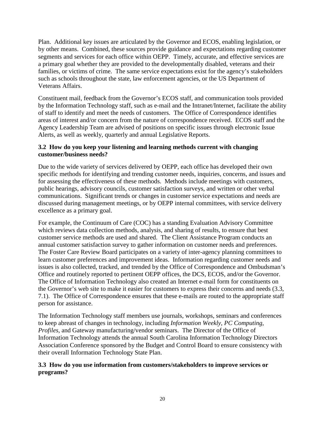Plan. Additional key issues are articulated by the Governor and ECOS, enabling legislation, or by other means. Combined, these sources provide guidance and expectations regarding customer segments and services for each office within OEPP. Timely, accurate, and effective services are a primary goal whether they are provided to the developmentally disabled, veterans and their families, or victims of crime. The same service expectations exist for the agency's stakeholders such as schools throughout the state, law enforcement agencies, or the US Department of Veterans Affairs.

Constituent mail, feedback from the Governor's ECOS staff, and communication tools provided by the Information Technology staff, such as e-mail and the Intranet/Internet, facilitate the ability of staff to identify and meet the needs of customers. The Office of Correspondence identifies areas of interest and/or concern from the nature of correspondence received. ECOS staff and the Agency Leadership Team are advised of positions on specific issues through electronic Issue Alerts, as well as weekly, quarterly and annual Legislative Reports.

# **3.2 How do you keep your listening and learning methods current with changing customer/business needs?**

Due to the wide variety of services delivered by OEPP, each office has developed their own specific methods for identifying and trending customer needs, inquiries, concerns, and issues and for assessing the effectiveness of these methods. Methods include meetings with customers, public hearings, advisory councils, customer satisfaction surveys, and written or other verbal communications. Significant trends or changes in customer service expectations and needs are discussed during management meetings, or by OEPP internal committees, with service delivery excellence as a primary goal.

For example, the Continuum of Care (COC) has a standing Evaluation Advisory Committee which reviews data collection methods, analysis, and sharing of results, to ensure that best customer service methods are used and shared. The Client Assistance Program conducts an annual customer satisfaction survey to gather information on customer needs and preferences. The Foster Care Review Board participates on a variety of inter-agency planning committees to learn customer preferences and improvement ideas. Information regarding customer needs and issues is also collected, tracked, and trended by the Office of Correspondence and Ombudsman's Office and routinely reported to pertinent OEPP offices, the DCS, ECOS, and/or the Governor. The Office of Information Technology also created an Internet e-mail form for constituents on the Governor's web site to make it easier for customers to express their concerns and needs (3.3, 7.1). The Office of Correspondence ensures that these e-mails are routed to the appropriate staff person for assistance.

The Information Technology staff members use journals, workshops, seminars and conferences to keep abreast of changes in technology, including *Information Weekly*, *PC Computing*, *Profiles*, and Gateway manufacturing/vendor seminars. The Director of the Office of Information Technology attends the annual South Carolina Information Technology Directors Association Conference sponsored by the Budget and Control Board to ensure consistency with their overall Information Technology State Plan.

# **3.3 How do you use information from customers/stakeholders to improve services or programs?**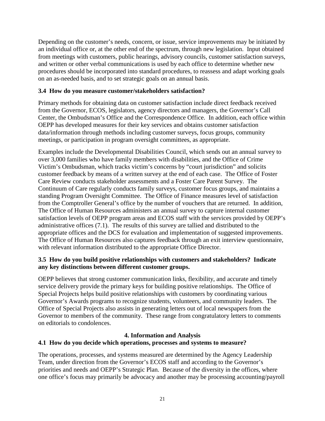Depending on the customer's needs, concern, or issue, service improvements may be initiated by an individual office or, at the other end of the spectrum, through new legislation. Input obtained from meetings with customers, public hearings, advisory councils, customer satisfaction surveys, and written or other verbal communications is used by each office to determine whether new procedures should be incorporated into standard procedures, to reassess and adapt working goals on an as-needed basis, and to set strategic goals on an annual basis.

#### **3.4 How do you measure customer/stakeholders satisfaction?**

Primary methods for obtaining data on customer satisfaction include direct feedback received from the Governor, ECOS, legislators, agency directors and managers, the Governor's Call Center, the Ombudsman's Office and the Correspondence Office. In addition, each office within OEPP has developed measures for their key services and obtains customer satisfaction data/information through methods including customer surveys, focus groups, community meetings, or participation in program oversight committees, as appropriate.

Examples include the Developmental Disabilities Council, which sends out an annual survey to over 3,000 families who have family members with disabilities, and the Office of Crime Victim's Ombudsman, which tracks victim's concerns by "court jurisdiction" and solicits customer feedback by means of a written survey at the end of each case. The Office of Foster Care Review conducts stakeholder assessments and a Foster Care Parent Survey. The Continuum of Care regularly conducts family surveys, customer focus groups, and maintains a standing Program Oversight Committee. The Office of Finance measures level of satisfaction from the Comptroller General's office by the number of vouchers that are returned. In addition, The Office of Human Resources administers an annual survey to capture internal customer satisfaction levels of OEPP program areas and ECOS staff with the services provided by OEPP's administrative offices (7.1). The results of this survey are tallied and distributed to the appropriate offices and the DCS for evaluation and implementation of suggested improvements. The Office of Human Resources also captures feedback through an exit interview questionnaire, with relevant information distributed to the appropriate Office Director.

# **3.5 How do you build positive relationships with customers and stakeholders? Indicate any key distinctions between different customer groups.**

OEPP believes that strong customer communication links, flexibility, and accurate and timely service delivery provide the primary keys for building positive relationships. The Office of Special Projects helps build positive relationships with customers by coordinating various Governor's Awards programs to recognize students, volunteers, and community leaders. The Office of Special Projects also assists in generating letters out of local newspapers from the Governor to members of the community. These range from congratulatory letters to comments on editorials to condolences.

# **4. Information and Analysis**

# **4.1 How do you decide which operations, processes and systems to measure?**

The operations, processes, and systems measured are determined by the Agency Leadership Team, under direction from the Governor's ECOS staff and according to the Governor's priorities and needs and OEPP's Strategic Plan. Because of the diversity in the offices, where one office's focus may primarily be advocacy and another may be processing accounting/payroll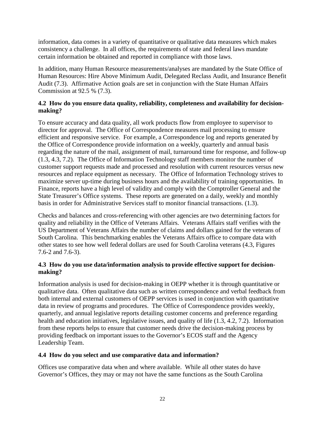information, data comes in a variety of quantitative or qualitative data measures which makes consistency a challenge. In all offices, the requirements of state and federal laws mandate certain information be obtained and reported in compliance with those laws.

In addition, many Human Resource measurements/analyses are mandated by the State Office of Human Resources: Hire Above Minimum Audit, Delegated Reclass Audit, and Insurance Benefit Audit (7.3). Affirmative Action goals are set in conjunction with the State Human Affairs Commission at 92.5 % (7.3).

# **4.2 How do you ensure data quality, reliability, completeness and availability for decisionmaking?**

To ensure accuracy and data quality, all work products flow from employee to supervisor to director for approval. The Office of Correspondence measures mail processing to ensure efficient and responsive service. For example, a Correspondence log and reports generated by the Office of Correspondence provide information on a weekly, quarterly and annual basis regarding the nature of the mail, assignment of mail, turnaround time for response, and follow-up (1.3, 4.3, 7.2). The Office of Information Technology staff members monitor the number of customer support requests made and processed and resolution with current resources versus new resources and replace equipment as necessary. The Office of Information Technology strives to maximize server up-time during business hours and the availability of training opportunities. In Finance, reports have a high level of validity and comply with the Comptroller General and the State Treasurer's Office systems. These reports are generated on a daily, weekly and monthly basis in order for Administrative Services staff to monitor financial transactions. (1.3).

Checks and balances and cross-referencing with other agencies are two determining factors for quality and reliability in the Office of Veterans Affairs. Veterans Affairs staff verifies with the US Department of Veterans Affairs the number of claims and dollars gained for the veterans of South Carolina. This benchmarking enables the Veterans Affairs office to compare data with other states to see how well federal dollars are used for South Carolina veterans (4.3, Figures 7.6-2 and 7.6-3).

# **4.3 How do you use data/information analysis to provide effective support for decisionmaking?**

Information analysis is used for decision-making in OEPP whether it is through quantitative or qualitative data. Often qualitative data such as written correspondence and verbal feedback from both internal and external customers of OEPP services is used in conjunction with quantitative data in review of programs and procedures. The Office of Correspondence provides weekly, quarterly, and annual legislative reports detailing customer concerns and preference regarding health and education initiatives, legislative issues, and quality of life (1.3, 4.2, 7.2). Information from these reports helps to ensure that customer needs drive the decision-making process by providing feedback on important issues to the Governor's ECOS staff and the Agency Leadership Team.

# **4.4 How do you select and use comparative data and information?**

Offices use comparative data when and where available. While all other states do have Governor's Offices, they may or may not have the same functions as the South Carolina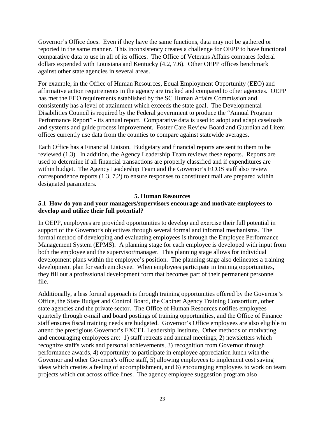Governor's Office does. Even if they have the same functions, data may not be gathered or reported in the same manner. This inconsistency creates a challenge for OEPP to have functional comparative data to use in all of its offices. The Office of Veterans Affairs compares federal dollars expended with Louisiana and Kentucky (4.2, 7.6). Other OEPP offices benchmark against other state agencies in several areas.

For example, in the Office of Human Resources, Equal Employment Opportunity (EEO) and affirmative action requirements in the agency are tracked and compared to other agencies. OEPP has met the EEO requirements established by the SC Human Affairs Commission and consistently has a level of attainment which exceeds the state goal. The Developmental Disabilities Council is required by the Federal government to produce the "Annual Program Performance Report" - its annual report. Comparative data is used to adopt and adapt caseloads and systems and guide process improvement. Foster Care Review Board and Guardian ad Litem offices currently use data from the counties to compare against statewide averages.

Each Office has a Financial Liaison. Budgetary and financial reports are sent to them to be reviewed (1.3). In addition, the Agency Leadership Team reviews these reports. Reports are used to determine if all financial transactions are properly classified and if expenditures are within budget. The Agency Leadership Team and the Governor's ECOS staff also review correspondence reports (1.3, 7.2) to ensure responses to constituent mail are prepared within designated parameters.

# **5. Human Resources**

# **5.1 How do you and your managers/supervisors encourage and motivate employees to develop and utilize their full potential?**

In OEPP, employees are provided opportunities to develop and exercise their full potential in support of the Governor's objectives through several formal and informal mechanisms. The formal method of developing and evaluating employees is through the Employee Performance Management System (EPMS). A planning stage for each employee is developed with input from both the employee and the supervisor/manager. This planning stage allows for individual development plans within the employee's position. The planning stage also delineates a training development plan for each employee. When employees participate in training opportunities, they fill out a professional development form that becomes part of their permanent personnel file.

Additionally, a less formal approach is through training opportunities offered by the Governor's Office, the State Budget and Control Board, the Cabinet Agency Training Consortium, other state agencies and the private sector. The Office of Human Resources notifies employees quarterly through e-mail and board postings of training opportunities, and the Office of Finance staff ensures fiscal training needs are budgeted. Governor's Office employees are also eligible to attend the prestigious Governor's EXCEL Leadership Institute. Other methods of motivating and encouraging employees are: 1) staff retreats and annual meetings, 2) newsletters which recognize staff's work and personal achievements, 3) recognition from Governor through performance awards, 4) opportunity to participate in employee appreciation lunch with the Governor and other Governor's office staff, 5) allowing employees to implement cost saving ideas which creates a feeling of accomplishment, and 6) encouraging employees to work on team projects which cut across office lines. The agency employee suggestion program also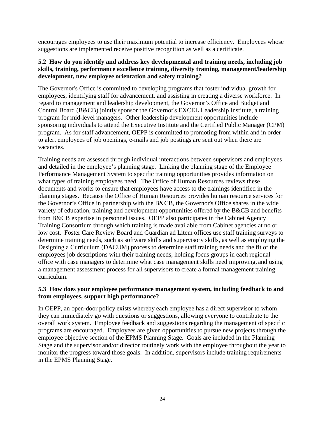encourages employees to use their maximum potential to increase efficiency. Employees whose suggestions are implemented receive positive recognition as well as a certificate.

# **5.2 How do you identify and address key developmental and training needs, including job skills, training, performance excellence training, diversity training, management/leadership development, new employee orientation and safety training?**

The Governor's Office is committed to developing programs that foster individual growth for employees, identifying staff for advancement, and assisting in creating a diverse workforce. In regard to management and leadership development, the Governor's Office and Budget and Control Board (B&CB) jointly sponsor the Governor's EXCEL Leadership Institute, a training program for mid-level managers. Other leadership development opportunities include sponsoring individuals to attend the Executive Institute and the Certified Public Manager (CPM) program. As for staff advancement, OEPP is committed to promoting from within and in order to alert employees of job openings, e-mails and job postings are sent out when there are vacancies.

Training needs are assessed through individual interactions between supervisors and employees and detailed in the employee's planning stage. Linking the planning stage of the Employee Performance Management System to specific training opportunities provides information on what types of training employees need. The Office of Human Resources reviews these documents and works to ensure that employees have access to the trainings identified in the planning stages. Because the Office of Human Resources provides human resource services for the Governor's Office in partnership with the B&CB, the Governor's Office shares in the wide variety of education, training and development opportunities offered by the B&CB and benefits from B&CB expertise in personnel issues. OEPP also participates in the Cabinet Agency Training Consortium through which training is made available from Cabinet agencies at no or low cost. Foster Care Review Board and Guardian ad Litem offices use staff training surveys to determine training needs, such as software skills and supervisory skills, as well as employing the Designing a Curriculum (DACUM) process to determine staff training needs and the fit of the employees job descriptions with their training needs, holding focus groups in each regional office with case managers to determine what case management skills need improving, and using a management assessment process for all supervisors to create a formal management training curriculum.

# **5.3 How does your employee performance management system, including feedback to and from employees, support high performance?**

In OEPP, an open-door policy exists whereby each employee has a direct supervisor to whom they can immediately go with questions or suggestions, allowing everyone to contribute to the overall work system. Employee feedback and suggestions regarding the management of specific programs are encouraged. Employees are given opportunities to pursue new projects through the employee objective section of the EPMS Planning Stage. Goals are included in the Planning Stage and the supervisor and/or director routinely work with the employee throughout the year to monitor the progress toward those goals. In addition, supervisors include training requirements in the EPMS Planning Stage.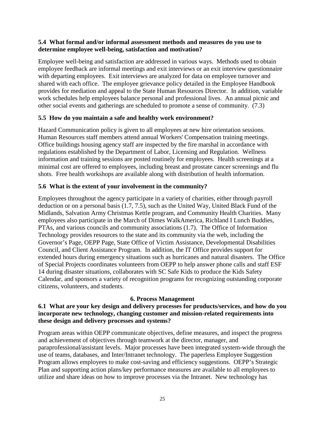#### **5.4 What formal and/or informal assessment methods and measures do you use to determine employee well-being, satisfaction and motivation?**

Employee well-being and satisfaction are addressed in various ways. Methods used to obtain employee feedback are informal meetings and exit interviews or an exit interview questionnaire with departing employees. Exit interviews are analyzed for data on employee turnover and shared with each office. The employee grievance policy detailed in the Employee Handbook provides for mediation and appeal to the State Human Resources Director. In addition, variable work schedules help employees balance personal and professional lives. An annual picnic and other social events and gatherings are scheduled to promote a sense of community. (7.3)

# **5.5 How do you maintain a safe and healthy work environment?**

Hazard Communication policy is given to all employees at new hire orientation sessions. Human Resources staff members attend annual Workers' Compensation training meetings. Office buildings housing agency staff are inspected by the fire marshal in accordance with regulations established by the Department of Labor, Licensing and Regulation. Wellness information and training sessions are posted routinely for employees. Health screenings at a minimal cost are offered to employees, including breast and prostate cancer screenings and flu shots. Free health workshops are available along with distribution of health information.

# **5.6 What is the extent of your involvement in the community?**

Employees throughout the agency participate in a variety of charities, either through payroll deduction or on a personal basis (1.7, 7.5), such as the United Way, United Black Fund of the Midlands, Salvation Army Christmas Kettle program, and Community Health Charities. Many employees also participate in the March of Dimes WalkAmerica, Richland I Lunch Buddies, PTAs, and various councils and community associations (1.7). The Office of Information Technology provides resources to the state and its community via the web, including the Governor's Page, OEPP Page, State Office of Victim Assistance, Developmental Disabilities Council, and Client Assistance Program. In addition, the IT Office provides support for extended hours during emergency situations such as hurricanes and natural disasters. The Office of Special Projects coordinates volunteers from OEPP to help answer phone calls and staff ESF 14 during disaster situations, collaborates with SC Safe Kids to produce the Kids Safety Calendar, and sponsors a variety of recognition programs for recognizing outstanding corporate citizens, volunteers, and students.

# **6. Process Management**

# **6.1 What are your key design and delivery processes for products/services, and how do you incorporate new technology, changing customer and mission-related requirements into these design and delivery processes and systems?**

Program areas within OEPP communicate objectives, define measures, and inspect the progress and achievement of objectives through teamwork at the director, manager, and paraprofessional/assistant levels. Major processes have been integrated system-wide through the use of teams, databases, and Inter/Intranet technology. The paperless Employee Suggestion Program allows employees to make cost-saving and efficiency suggestions. OEPP's Strategic Plan and supporting action plans/key performance measures are available to all employees to utilize and share ideas on how to improve processes via the Intranet. New technology has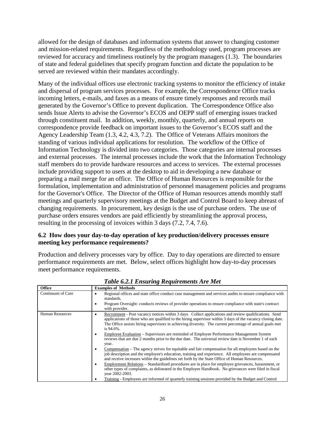allowed for the design of databases and information systems that answer to changing customer and mission-related requirements. Regardless of the methodology used, program processes are reviewed for accuracy and timeliness routinely by the program managers (1.3). The boundaries of state and federal guidelines that specify program function and dictate the population to be served are reviewed within their mandates accordingly.

Many of the individual offices use electronic tracking systems to monitor the efficiency of intake and dispersal of program services processes. For example, the Correspondence Office tracks incoming letters, e-mails, and faxes as a means of ensure timely responses and records mail generated by the Governor's Office to prevent duplication. The Correspondence Office also sends Issue Alerts to advise the Governor's ECOS and OEPP staff of emerging issues tracked through constituent mail. In addition, weekly, monthly, quarterly, and annual reports on correspondence provide feedback on important issues to the Governor's ECOS staff and the Agency Leadership Team (1.3, 4.2, 4.3, 7.2). The Office of Veterans Affairs monitors the standing of various individual applications for resolution. The workflow of the Office of Information Technology is divided into two categories. Those categories are internal processes and external processes. The internal processes include the work that the Information Technology staff members do to provide hardware resources and access to services. The external processes include providing support to users at the desktop to aid in developing a new database or preparing a mail merge for an office. The Office of Human Resources is responsible for the formulation, implementation and administration of personnel management policies and programs for the Governor's Office. The Director of the Office of Human resources attends monthly staff meetings and quarterly supervisory meetings at the Budget and Control Board to keep abreast of changing requirements. In procurement, key design is the use of purchase orders. The use of purchase orders ensures vendors are paid efficiently by streamlining the approval process, resulting in the processing of invoices within 3 days (7.2, 7.4, 7.6).

# **6.2 How does your day-to-day operation of key production/delivery processes ensure meeting key performance requirements?**

Production and delivery processes vary by office. Day to day operations are directed to ensure performance requirements are met. Below, select offices highlight how day-to-day processes meet performance requirements.

| <b>Office</b>          | <b>Examples of Methods</b>                                                                                                                                                                                                                                                                                                                                                                                                                                                                                                                                                                                                                                                                                                                                                                                                                                                                                                                                                                                                                                                                                                                                                                                                                                                 |
|------------------------|----------------------------------------------------------------------------------------------------------------------------------------------------------------------------------------------------------------------------------------------------------------------------------------------------------------------------------------------------------------------------------------------------------------------------------------------------------------------------------------------------------------------------------------------------------------------------------------------------------------------------------------------------------------------------------------------------------------------------------------------------------------------------------------------------------------------------------------------------------------------------------------------------------------------------------------------------------------------------------------------------------------------------------------------------------------------------------------------------------------------------------------------------------------------------------------------------------------------------------------------------------------------------|
| Continuum of Care      | Regional offices and state office conduct case management and services audits to ensure compliance with<br>٠<br>standards.<br>Program Oversight: conducts reviews of provider operations to ensure compliance with state's contract<br>$\bullet$<br>with provider.                                                                                                                                                                                                                                                                                                                                                                                                                                                                                                                                                                                                                                                                                                                                                                                                                                                                                                                                                                                                         |
| <b>Human Resources</b> | Recruitment - Post vacancy notices within 3 days. Collect applications and review qualifications. Send<br>$\bullet$<br>applications of those who are qualified to the hiring supervisor within 3 days of the vacancy closing date.<br>The Office assists hiring supervisors in achieving diversity. The current percentage of annual goals met<br>is 94.6%.<br>Employee Evaluation – Supervisors are reminded of Employee Performance Management System<br>$\bullet$<br>reviews that are due 2 months prior to the due date. The universal review date is November 1 of each<br>year.<br>Compensation – The agency strives for equitable and fair compensation for all employees based on the<br>$\bullet$<br>job description and the employee's education, training and experience. All employees are compensated<br>and receive increases within the guidelines set forth by the State Office of Human Resources.<br>Employment Relations – Standardized procedures are in place for employee grievances, harassment, or<br>$\bullet$<br>other types of complaints, as delineated in the Employee Handbook. No grievances were filed in fiscal<br>vear 2002-2003.<br>Training - Employees are informed of quarterly training sessions provided by the Budget and Control |

*Table 6.2.1 Ensuring Requirements Are Met*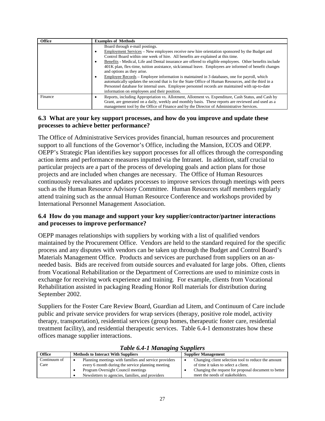| <b>Office</b> | <b>Examples of Methods</b>                                                                                                                                                                                                                                                                                                                                   |
|---------------|--------------------------------------------------------------------------------------------------------------------------------------------------------------------------------------------------------------------------------------------------------------------------------------------------------------------------------------------------------------|
|               | Board through e-mail postings.                                                                                                                                                                                                                                                                                                                               |
|               | Employment Services – New employees receive new hire orientation sponsored by the Budget and<br>٠<br>Control Board within one week of hire. All benefits are explained at this time.                                                                                                                                                                         |
|               | Benefits - Medical, Life and Dental insurance are offered to eligible employees. Other benefits include<br>٠<br>401K plan, flex-time, tuition assistance, sick/annual leave. Employees are informed of benefit changes<br>and options as they arise.                                                                                                         |
|               | Employee Records – Employee information is maintained in 3 databases, one for payroll, which<br>٠<br>automatically updates the second that is for the State Office of Human Resources, and the third in a<br>Personnel database for internal uses. Employee personnel records are maintained with up-to-date<br>information on employees and their position. |
| Finance       | Reports, including Appropriation vs. Allotment, Allotment vs. Expenditure, Cash Status, and Cash by<br>٠<br>Grant, are generated on a daily, weekly and monthly basis. These reports are reviewed and used as a<br>management tool by the Office of Finance and by the Director of Administrative Services.                                                  |

#### **6.3 What are your key support processes, and how do you improve and update these processes to achieve better performance?**

The Office of Administrative Services provides financial, human resources and procurement support to all functions of the Governor's Office, including the Mansion, ECOS and OEPP. OEPP's Strategic Plan identifies key support processes for all offices through the corresponding action items and performance measures inputted via the Intranet. In addition, staff crucial to particular projects are a part of the process of developing goals and action plans for those projects and are included when changes are necessary. The Office of Human Resources continuously reevaluates and updates processes to improve services through meetings with peers such as the Human Resource Advisory Committee. Human Resources staff members regularly attend training such as the annual Human Resource Conference and workshops provided by International Personnel Management Association.

#### **6.4 How do you manage and support your key supplier/contractor/partner interactions and processes to improve performance?**

OEPP manages relationships with suppliers by working with a list of qualified vendors maintained by the Procurement Office. Vendors are held to the standard required for the specific process and any disputes with vendors can be taken up through the Budget and Control Board's Materials Management Office. Products and services are purchased from suppliers on an asneeded basis. Bids are received from outside sources and evaluated for large jobs. Often, clients from Vocational Rehabilitation or the Department of Corrections are used to minimize costs in exchange for receiving work experience and training. For example, clients from Vocational Rehabilitation assisted in packaging Reading Honor Roll materials for distribution during September 2002.

Suppliers for the Foster Care Review Board, Guardian ad Litem, and Continuum of Care include public and private service providers for wrap services (therapy, positive role model, activity therapy, transportation), residential services (group homes, therapeutic foster care, residential treatment facility), and residential therapeutic services. Table 6.4-1 demonstrates how these offices manage supplier interactions.

| $=$ $\ldots$ $=$ $\ldots$ $\ldots$ $\ldots$ $\ldots$ $\ldots$ $\ldots$ |                                                                                                            |                                                                                             |  |  |
|------------------------------------------------------------------------|------------------------------------------------------------------------------------------------------------|---------------------------------------------------------------------------------------------|--|--|
| <b>Office</b><br><b>Methods to Interact With Suppliers</b>             |                                                                                                            | <b>Supplier Management</b>                                                                  |  |  |
| Continuum of<br>Care                                                   | Planning meetings with families and service providers<br>every 6 month during the service planning meeting | Changing client selection tool to reduce the amount<br>of time it takes to select a client. |  |  |
|                                                                        | Program Oversight Council meetings<br>Newsletters to agencies, families, and providers                     | Changing the request for proposal document to better<br>meet the needs of stakeholders.     |  |  |

#### *Table 6.4-1 Managing Suppliers*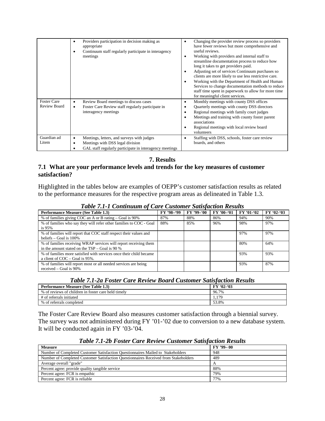|                                    | Providers participation in decision making as<br>٠<br>appropriate<br>Continuum staff regularly participate in interagency<br>٠<br>meetings               | Changing the provider review process so providers<br>٠<br>have fewer reviews but more comprehensive and<br>useful reviews.<br>Working with providers and internal staff to<br>streamline documentation process to reduce how<br>long it takes to get providers paid.<br>Adjusting set of services Continuum purchases so<br>clients are more likely to use less restrictive care.<br>Working with the Department of Health and Human<br>٠<br>Services to change documentation methods to reduce<br>staff time spent in paperwork to allow for more time<br>for meaningful client services. |
|------------------------------------|----------------------------------------------------------------------------------------------------------------------------------------------------------|--------------------------------------------------------------------------------------------------------------------------------------------------------------------------------------------------------------------------------------------------------------------------------------------------------------------------------------------------------------------------------------------------------------------------------------------------------------------------------------------------------------------------------------------------------------------------------------------|
| <b>Foster Care</b><br>Review Board | Review Board meetings to discuss cases<br>$\bullet$<br>Foster Care Review staff regularly participate in<br>$\bullet$<br>interagency meetings            | Monthly meetings with county DSS offices<br>٠<br>Quarterly meetings with county DSS directors<br>Regional meetings with family court judges<br>٠<br>Meetings and training with county foster parent<br>associations<br>Regional meetings with local review board<br>volunteers                                                                                                                                                                                                                                                                                                             |
| Guardian ad<br>Litem               | Meetings, letters, and surveys with judges<br>٠<br>Meetings with DSS legal division<br>٠<br>GAL staff regularly participate in interagency meetings<br>٠ | Staffing with DSS, schools, foster care review<br>٠<br>boards, and others                                                                                                                                                                                                                                                                                                                                                                                                                                                                                                                  |

**7. Results**

# **7.1 What are your performance levels and trends for the key measures of customer satisfaction?**

Highlighted in the tables below are examples of OEPP's customer satisfaction results as related to the performance measures for the respective program areas as delineated in Table 1.3.

| <b>Performance Measure (See Table 1.3)</b>                         | FY '98-'99 | FY '99-'00 | FY '00-'01 | FY '01-'02 | $FY'02-03$ |
|--------------------------------------------------------------------|------------|------------|------------|------------|------------|
| % of families giving COC an A or B rating – Goal is 90%            | 87%        | 88%        | 86%        | 94%        | 90%        |
| % of families who say they will refer other families to COC - Goal | 88%        | 85%        | 96%        | 98%        | 97%        |
| is $95%$                                                           |            |            |            |            |            |
| % of families will report that COC staff respect their values and  |            |            |            | 97%        | 97%        |
| beliefs $-$ Goal is 100%                                           |            |            |            |            |            |
| % of families receiving WRAP services will report receiving them   |            |            |            | 80%        | 64%        |
| in the amount stated on the $TSP - Goal$ is 90 %                   |            |            |            |            |            |
| % of families more satisfied with services once their child became |            |            |            | 93%        | 93%        |
| a client of $COC -$ Goal is 95%.                                   |            |            |            |            |            |
| % of families will report most or all needed services are being    |            |            |            | 93%        | 87%        |
| received $-$ Goal is 90%                                           |            |            |            |            |            |

*Table 7.1-1 Continuum of Care Customer Satisfaction Results*

#### *Table 7.1-2a Foster Care Review Board Customer Satisfaction Results*

| <b>Performance Measure (See Table 1.3)</b>          | $FY'02-03$ |
|-----------------------------------------------------|------------|
| % of reviews of children in foster care held timely | 96.7%      |
| # of referrals initiated                            | 179<br>L.F |
| % of referrals completed                            | 53.8%      |

The Foster Care Review Board also measures customer satisfaction through a biennial survey. The survey was not administered during FY '01-'02 due to conversion to a new database system. It will be conducted again in FY '03-'04.

| <b>Measure</b>                                                                      | $FY$ '99- 00 |
|-------------------------------------------------------------------------------------|--------------|
| Number of Completed Customer Satisfaction Questionnaires Mailed to Stakeholders     | 948          |
| Number of Completed Customer Satisfaction Questionnaires Received from Stakeholders | 489          |
| Average overall "grade"                                                             |              |
| Percent agree: provide quality tangible service                                     | 88%          |
| Percent agree: FCR is empathic                                                      | 79%          |
| Percent agree: FCR is reliable                                                      | 77%          |

#### *Table 7.1-2b Foster Care Review Customer Satisfaction Results*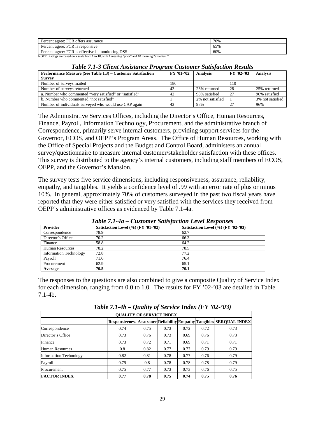| FCR offers assurance<br>Percent agree:            | 70% |
|---------------------------------------------------|-----|
| : FCR is responsive<br>Percent agree: 1           | 65% |
| Percent agree: FCR is effective in monitoring DSS | 60% |

NOTE: Ratings are based on a scale from 1 to 10, with 1 meaning "poor" and 10 meaning "excellent."

#### *Table 7.1-3 Client Assistance Program Customer Satisfaction Results*

| $FY'01-02$<br>Performance Measure (See Table 1.3) – Customer Satisfaction |     | <b>Analysis</b>  | $FY'02-03$ | <b>Analysis</b>  |
|---------------------------------------------------------------------------|-----|------------------|------------|------------------|
| <b>Survey</b>                                                             |     |                  |            |                  |
| Number of surveys mailed                                                  | 186 |                  | 110        |                  |
| Number of surveys returned                                                | 43  | 23% returned     | -28        | 25% returned     |
| a. Number who commented "very satisfied" or "satisfied"                   | 42  | 98% satisfied    | 27         | 96% satisfied    |
| b. Number who commented "not satisfied"                                   |     | 2% not satisfied |            | 3% not satisfied |
| Number of individuals surveyed who would use CAP again                    | 42  | 98%              | 27         | 96%              |

The Administrative Services Offices, including the Director's Office, Human Resources, Finance, Payroll, Information Technology, Procurement, and the administrative branch of Correspondence, primarily serve internal customers, providing support services for the Governor, ECOS, and OEPP's Program Areas. The Office of Human Resources, working with the Office of Special Projects and the Budget and Control Board, administers an annual survey/questionnaire to measure internal customer/stakeholder satisfaction with these offices. This survey is distributed to the agency's internal customers, including staff members of ECOS, OEPP, and the Governor's Mansion.

The survey tests five service dimensions, including responsiveness, assurance, reliability, empathy, and tangibles. It yields a confidence level of .99 with an error rate of plus or minus 10%. In general, approximately 70% of customers surveyed in the past two fiscal years have reported that they were either satisfied or very satisfied with the services they received from OEPP's administrative offices as evidenced by Table 7.1-4a.

| Tuble 7.1-4a – Castomer Sausfaction Level Responses |                                     |                                     |  |
|-----------------------------------------------------|-------------------------------------|-------------------------------------|--|
| <b>Provider</b>                                     | Satisfaction Level (%) (FY '01-'02) | Satisfaction Level (%) (FY '02-'03) |  |
| Correspondence                                      | 78.9                                | 62.7                                |  |
| Director's Office                                   | 70.2                                | 66.3                                |  |
| Finance                                             | 58.8                                | 64.2                                |  |
| <b>Human Resources</b>                              | 78.2                                | 78.5                                |  |
| <b>Information Technology</b>                       | 72.8                                | 77.2                                |  |
| Payroll                                             | 71.6                                | 76.4                                |  |
| Procurement                                         | 62.9                                | 65.1                                |  |
| Average                                             | 70.5                                | 70.1                                |  |

*Table 7.1-4a – Customer Satisfaction Level Responses*

The responses to the questions are also combined to give a composite Quality of Service Index for each dimension, ranging from 0.0 to 1.0. The results for FY '02-'03 are detailed in Table 7.1-4b.

| 1 WUW 1 11 TU<br>$Q$ <i>aanvy of Scriber Indica</i> (1.1 $Q = 0.07$ ) |      |      |      |      |      |                                                                                |
|-----------------------------------------------------------------------|------|------|------|------|------|--------------------------------------------------------------------------------|
| <b>OUALITY OF SERVICE INDEX</b>                                       |      |      |      |      |      |                                                                                |
|                                                                       |      |      |      |      |      | Responsiveness   Assurance   Reliability   Empathy   Tangibles   SERQUAL INDEX |
| Correspondence                                                        | 0.74 | 0.75 | 0.73 | 0.72 | 0.72 | 0.73                                                                           |
| Director's Office                                                     | 0.73 | 0.76 | 0.73 | 0.69 | 0.76 | 0.73                                                                           |
| Finance                                                               | 0.73 | 0.72 | 0.71 | 0.69 | 0.71 | 0.71                                                                           |
| Human Resources                                                       | 0.8  | 0.82 | 0.77 | 0.77 | 0.79 | 0.79                                                                           |
| <b>Information Technology</b>                                         | 0.82 | 0.81 | 0.78 | 0.77 | 0.76 | 0.79                                                                           |
| Payroll                                                               | 0.79 | 0.8  | 0.78 | 0.78 | 0.78 | 0.79                                                                           |
| Procurement                                                           | 0.75 | 0.77 | 0.73 | 0.73 | 0.76 | 0.75                                                                           |
| <b>FACTOR INDEX</b>                                                   | 0.77 | 0.78 | 0.75 | 0.74 | 0.75 | 0.76                                                                           |

*Table 7.1-4b – Quality of Service Index (FY '02-'03)*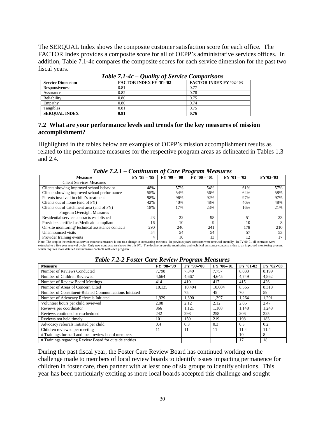The SERQUAL Index shows the composite customer satisfaction score for each office. The FACTOR Index provides a composite score for all of OEPP's administrative services offices. In addition, Table 7.1-4c compares the composite scores for each service dimension for the past two fiscal years.

| Tuble $\ell$ . 1-4 $\epsilon$ – Quality of Service Comparisons |                                |                                |  |  |  |  |
|----------------------------------------------------------------|--------------------------------|--------------------------------|--|--|--|--|
| <b>Service Dimension</b>                                       | <b>FACTOR INDEX FY '01-'02</b> | <b>FACTOR INDEX FY '02-'03</b> |  |  |  |  |
| Responsiveness                                                 | 0.81                           | 0.77                           |  |  |  |  |
| Assurance                                                      | 0.82                           | 0.78                           |  |  |  |  |
| Reliability                                                    | 0.80                           | 0.75                           |  |  |  |  |
| Empathy                                                        | 0.80                           | 0.74                           |  |  |  |  |
| Tangibles                                                      | 0.81                           | 0.75                           |  |  |  |  |
| <b>SEROUAL INDEX</b>                                           | 0.81                           | 0.76                           |  |  |  |  |

*Table 7.1-4c – Quality of Service Comparisons*

#### **7.2 What are your performance levels and trends for the key measures of mission accomplishment?**

Highlighted in the tables below are examples of OEPP's mission accomplishment results as related to the performance measures for the respective program areas as delineated in Tables 1.3 and 2.4.

| <b>Measure</b>                                                                                                                                                                           | $FY$ '98 - '99 | $FY$ '99 - '00 | $FY'00 - 01$ | $FY'01 - 02$ | FY'02-'03 |  |
|------------------------------------------------------------------------------------------------------------------------------------------------------------------------------------------|----------------|----------------|--------------|--------------|-----------|--|
| <b>Client Services Measures</b>                                                                                                                                                          |                |                |              |              |           |  |
| Clients showing improved school behavior                                                                                                                                                 | 48%            | 57%            | 54%          | 61%          | 57%       |  |
| Clients showing improved school performance                                                                                                                                              | 55%            | 54%            | 56%          | 64%          | 58%       |  |
| Parents involved in child's treatment                                                                                                                                                    | 98%            | 96%            | 92%          | 97%          | 97%       |  |
| Clients out of home (end of FY)                                                                                                                                                          | 42%            | 40%            | 48%          | 46%          | 48%       |  |
| Clients out of catchment area (end of FY)                                                                                                                                                | 18%            | 17%            | 23%          | 16%          | 21%       |  |
| Program Oversight Measures                                                                                                                                                               |                |                |              |              |           |  |
| Residential service contracts established                                                                                                                                                | 23             | 22             | 98           | 51           | 23        |  |
| Providers certified as Medicaid compliant                                                                                                                                                | 16             | 10             |              | 10           |           |  |
| On-site monitoring/technical assistance contacts                                                                                                                                         | 290            | 246            | 241          | 178          | 210       |  |
| Unannounced visits                                                                                                                                                                       | 54             | 54             | 54           | 57           |           |  |
| Provider training events                                                                                                                                                                 | 4              | 10             | 13           | 12           |           |  |
| Note: The drop in the residential service contracts measure is due to a change in contracting methods. In previous years contracts were renewed annually. In FY 00-01 all contracts were |                |                |              |              |           |  |

*Table 7.2.1 – Continuum of Care Program Measures*

extended to a five year renewal cycle. Only new contracts are shown for this FY. The decline in on-site monitoring and technical assistance contacts is due to an improved monitoring process, which requires more detailed and intensive contacts with each program.

|                                                         |            | ு            |            |           |            |
|---------------------------------------------------------|------------|--------------|------------|-----------|------------|
| <b>Measure</b>                                          | FY '98-'99 | $FY$ '99-'00 | FY '00-'01 | FY '01-02 | FY '02-'03 |
| Number of Reviews Conducted                             | 7.798      | 7.849        | 7.757      | 8.033     | 8,199      |
| Number of Children Reviewed                             | 4.664      | 4.667        | 4.645      | 4.749     | 4.862      |
| Number of Review Board Meetings                         | 414        | 410          | 417        | 415       | 426        |
| Number of Areas of Concern Cited                        | 10,135     | 10,494       | 10.004     | 8,565     | 8,318      |
| Number of Constituent-Related Communications Initiated  |            | 75           | 45         | 70        | 59         |
| Number of Advocacy Referrals Initiated                  | 1.929      | 1,390        | 1,397      | 1,264     | 1,201      |
| Volunteer hours per child reviewed                      | 2.08       | 2.12         | 2.12       | 2.05      | 2.47       |
| Reviews per coordinator                                 | 866        | 1,121        | 1.108      | 1,148     | 1,248      |
| Reviews continued or rescheduled                        | 242        | 298          | 258        | 206       | 225        |
| Reviews not held timely                                 | 101        | 159          | 219        | 198       | 183        |
| Advocacy referrals initiated per child                  | 0.4        | 0.3          | 0.3        | 0.3       | 0.2        |
| Children reviewed per meeting                           | 11         | 11           | 11         | 11.4      | 11.4       |
| # Trainings for staff and local review board members    |            |              |            | 10        | 8          |
| # Trainings regarding Review Board for outside entities |            |              |            | 17        | 18         |

#### *Table 7.2-2 Foster Care Review Program Measures*

During the past fiscal year, the Foster Care Review Board has continued working on the challenge made to members of local review boards to identify issues impacting permanence for children in foster care, then partner with at least one of six groups to identify solutions. This year has been particularly exciting as more local boards accepted this challenge and sought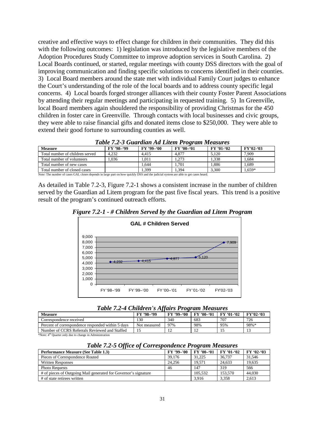creative and effective ways to effect change for children in their communities. They did this with the following outcomes: 1) legislation was introduced by the legislative members of the Adoption Procedures Study Committee to improve adoption services in South Carolina. 2) Local Boards continued, or started, regular meetings with county DSS directors with the goal of improving communication and finding specific solutions to concerns identified in their counties. 3) Local Board members around the state met with individual Family Court judges to enhance the Court's understanding of the role of the local boards and to address county specific legal concerns. 4) Local boards forged stronger alliances with their county Foster Parent Associations by attending their regular meetings and participating in requested training. 5) In Greenville, local Board members again shouldered the responsibility of providing Christmas for the 450 children in foster care in Greenville. Through contacts with local businesses and civic groups, they were able to raise financial gifts and donated items close to \$250,000. They were able to extend their good fortune to surrounding counties as well.

| <b>Measure</b>                                                                                                                            | FY '98-'99 | FY '99-'00 | $FY'00-01$ | <b>FY '01-'02</b> | $FY'02-03$ |  |  |
|-------------------------------------------------------------------------------------------------------------------------------------------|------------|------------|------------|-------------------|------------|--|--|
| Total number of children served                                                                                                           | 4.232      | 4.415      | 4.877      | 5.120             | 7.909      |  |  |
| Total number of volunteers                                                                                                                | .036       | .011       | 1.273      | 1.338             | 1.684      |  |  |
| Total number of new cases                                                                                                                 |            | 1.644      | 1.701      | .886              | 1.689      |  |  |
| Total number of closed cases                                                                                                              |            | .399       | 1.394      | 3.300             | .659*      |  |  |
| Note: The available of coses $CAI$ closes demands in lance man on have ordelity DCC and the individuated and allege and state association |            |            |            |                   |            |  |  |

Note: The number of cases GAL closes depends in large part on how quickly DSS and the judicial system are able to get cases heard.

As detailed in Table 7.2-3, Figure 7.2-1 shows a consistent increase in the number of children served by the Guardian ad Litem program for the past five fiscal years. This trend is a positive result of the program's continued outreach efforts.





*Table 7.2-4 Children's Affairs Program Measures*

| <b>Measure</b>                                                                                                                                                                                                                 | FY '98-'99      | FY '99-'00 | $FY'00-01$ | FY '01-'02 | $FY'02-03$ |
|--------------------------------------------------------------------------------------------------------------------------------------------------------------------------------------------------------------------------------|-----------------|------------|------------|------------|------------|
| Correspondence received                                                                                                                                                                                                        | $\overline{30}$ | 340        | 683        | 707        | 726        |
| Percent of correspondence responded within 5 days                                                                                                                                                                              | Not measured    | 97%        | 98%        | 95%        | 98%*       |
| Number of CCRS Referrals Reviewed and Staffed                                                                                                                                                                                  |                 |            |            |            |            |
| was attack a strain and the state of the state of the state of the state of the state of the state of the state of the state of the state of the state of the state of the state of the state of the state of the state of the |                 |            |            |            |            |

Vote: 4<sup>th</sup> Quarter only due to change in Administration

*Table 7.2-5 Office of Correspondence Program Measures*

| $\mathbf{v}$<br><b>Performance Measure (See Table 1.3)</b>      | FY '99-'00 | $\tilde{\phantom{a}}$<br>FY '00-'01 | <b>FY '01-'02</b> | $FY'02-03$ |
|-----------------------------------------------------------------|------------|-------------------------------------|-------------------|------------|
| Pieces of Correspondence Routed                                 | 39.176     | 31.225                              | 36,737            | 31.546     |
| <b>Written Responses</b>                                        | 24.256     | 19.571                              | 24.633            | 19.635     |
| <b>Photo Requests</b>                                           | 46         | 147                                 | 319               | 566        |
| # of pieces of Outgoing Mail generated for Governor's signature |            | 105.532                             | 153,570           | 44,030     |
| # of state retirees written                                     |            | 3.916                               | 3.358             | 2.613      |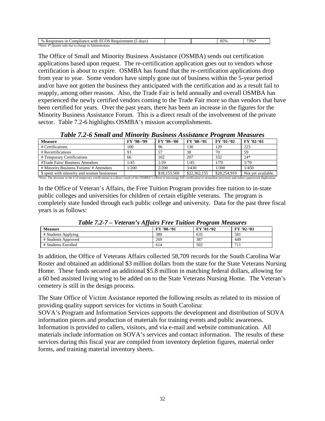| 0/2<br>n<br>with.<br>davs.<br>$-1$<br>. ompliance.<br>Responses<br>equirement<br>$\cdot$ |  | 85% | 73% |
|------------------------------------------------------------------------------------------|--|-----|-----|
| *Note.<br>Ouarter only<br>e in Administration<br>change<br>due to                        |  |     |     |

The Office of Small and Minority Business Assistance (OSMBA) sends out certification applications based upon request. The re-certification application goes out to vendors whose certification is about to expire. OSMBA has found that the re-certification applications drop from year to year. Some vendors have simply gone out of business within the 5-year period and/or have not gotten the business they anticipated with the certification and as a result fail to reapply, among other reasons. Also, the Trade Fair is held annually and overall OSMBA has experienced the newly certified vendors coming to the Trade Fair more so than vendors that have been certified for years. Over the past years, there has been an increase in the figures for the Minority Business Assistance Forum. This is a direct result of the involvement of the private sector. Table 7.2-6 highlights OSMBA's mission accomplishments.

|                                                                                                                                                                                              |            |              |              | $\cdot$      |                    |
|----------------------------------------------------------------------------------------------------------------------------------------------------------------------------------------------|------------|--------------|--------------|--------------|--------------------|
| <b>Measure</b>                                                                                                                                                                               | FY '98-'99 | $FY$ '99-'00 | $FY'00-01$   | FY '01-'02   | $FY'02-03$         |
| # Certifications                                                                                                                                                                             | 100        | 96           | 130          | 129          | 223                |
| # Recertifications                                                                                                                                                                           | 93         | 57           | 38           | 70           | 59                 |
| # Temporary Certifications                                                                                                                                                                   | 66         | 102          | 207          | 332          | $24*$              |
| #Trade Fairs/ Business Attendees                                                                                                                                                             | 1/45       | 1/39         | 1/45         | 1/70         | 1/70               |
| # Minority Business Forums/ # Attendees                                                                                                                                                      | 1/200      | 2/200        | 3/430        | 1/300        | 1/450              |
| \$ spent with minority and women businesses                                                                                                                                                  |            | \$18,155,569 | \$22,362,155 | \$28,254,910 | Not yet available. |
| *Note: The decrease in the # of temporary certifications is a direct result of the OSMBA's efforts to encourage full certification to streamline processes and reduce paperwork duplication. |            |              |              |              |                    |

*Table 7.2-6 Small and Minority Business Assistance Program Measures*

In the Office of Veteran's Affairs, the Free Tuition Program provides free tuition to in-state public colleges and universities for children of certain eligible veterans. The program is completely state funded through each public college and university. Data for the past three fiscal years is as follows:

| $1$ uvie 7.2-7 – Veierun 5 Affairs Free Tuttion I rogram Measures |                   |                   |            |  |  |
|-------------------------------------------------------------------|-------------------|-------------------|------------|--|--|
| <b>Measure</b>                                                    | <b>FY '00-'01</b> | <b>FY '01-'02</b> | $FY'02-03$ |  |  |
| # Students Applying                                               | 380               | 635               | 581        |  |  |
| # Students Approved                                               | 269               | 387               | 449        |  |  |
| # Students Enrolled                                               | 614               | 502               |            |  |  |

*Table 7.2-7 – Veteran's Affairs Free Tuition Program Measures*

In addition, the Office of Veterans Affairs collected 58,709 records for the South Carolina War Roster and obtained an additional \$3 million dollars from the state for the State Veterans Nursing Home. These funds secured an additional \$5.8 million in matching federal dollars, allowing for a 60 bed assisted living wing to be added on to the State Veterans Nursing Home. The Veteran's cemetery is still in the design process.

The State Office of Victim Assistance reported the following results as related to its mission of providing quality support services for victims in South Carolina:

SOVA's Program and Information Services supports the development and distribution of SOVA information pieces and production of materials for training events and public awareness. Information is provided to callers, visitors, and via e-mail and website communication. All materials include information on SOVA's services and contact information. The results of these services during this fiscal year are compiled from inventory depletion figures, material order forms, and training material inventory sheets.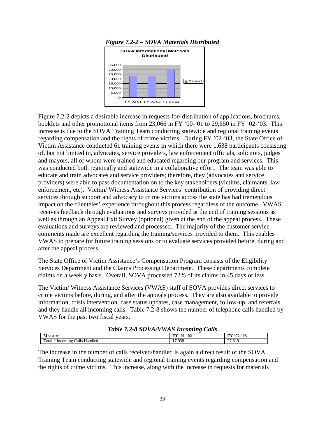

Figure 7.2-2 depicts a desirable increase in requests for/ distribution of applications, brochures, booklets and other promotional items from 23,066 in FY '00-'01 to 29,650 in FY '02-'03. This increase is due to the SOVA Training Team conducting statewide and regional training events regarding compensation and the rights of crime victims. During FY '02-'03, the State Office of Victim Assistance conducted 61 training events in which there were 1,638 participants consisting

of, but not limited to, advocates, service providers, law enforcement officials, solicitors, judges and mayors, all of whom were trained and educated regarding our program and services. This was conducted both regionally and statewide in a collaborative effort. The team was able to educate and train advocates and service providers; therefore, they (advocates and service providers) were able to pass documentation on to the key stakeholders (victims, claimants, law enforcement, etc). Victim/ Witness Assistance Services' contribution of providing direct services through support and advocacy to crime victims across the state has had tremendous impact on the clienteles' experience throughout this process regardless of the outcome. VWAS receives feedback through evaluations and surveys provided at the end of training sessions as well as through an Appeal Exit Survey (optional) given at the end of the appeal process. These evaluations and surveys are reviewed and processed. The majority of the customer service comments made are excellent regarding the training/services provided to them. This enables VWAS to prepare for future training sessions or to evaluate services provided before, during and after the appeal process.

The State Office of Victim Assistance's Compensation Program consists of the Eligibility Services Department and the Claims Processing Department. These departments complete claims on a weekly basis. Overall, SOVA processed 72% of its claims in 45 days or less.

The Victim/ Witness Assistance Services (VWAS) staff of SOVA provides direct services to crime victims before, during, and after the appeals process. They are also available to provide information, crisis intervention, case status updates, case management, follow-up, and referrals, and they handle all incoming calls. Table 7.2-8 shows the number of telephone calls handled by VWAS for the past two fiscal years.

| Lable 1.2-8 SOVA/VWAS Incoming Calls |                   |            |  |  |
|--------------------------------------|-------------------|------------|--|--|
| <b>Measure</b>                       | <b>FY '01-'02</b> | $FY'02-03$ |  |  |
| Total # Incoming Calls Handled       | 17.938            | 27.619     |  |  |

# *Table 7.2-8 SOVA/VWAS Incoming Calls*

The increase in the number of calls received/handled is again a direct result of the SOVA Training Team conducting statewide and regional training events regarding compensation and the rights of crime victims. This increase, along with the increase in requests for materials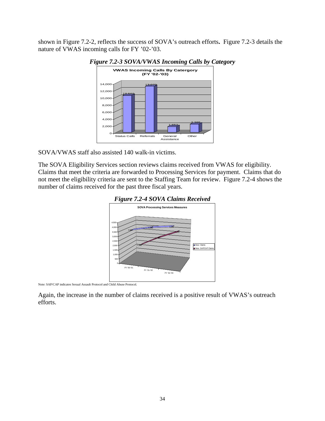shown in Figure 7.2-2, reflects the success of SOVA's outreach efforts**.** Figure 7.2-3 details the nature of VWAS incoming calls for FY '02-'03.





SOVA/VWAS staff also assisted 140 walk-in victims.

The SOVA Eligibility Services section reviews claims received from VWAS for eligibility. Claims that meet the criteria are forwarded to Processing Services for payment. Claims that do not meet the eligibility criteria are sent to the Staffing Team for review. Figure 7.2-4 shows the number of claims received for the past three fiscal years.



Note: SAP/CAP indicates Sexual Assault Protocol and Child Abuse Protocol.

Again, the increase in the number of claims received is a positive result of VWAS's outreach efforts.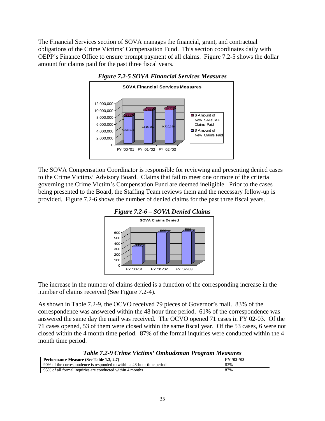The Financial Services section of SOVA manages the financial, grant, and contractual obligations of the Crime Victims' Compensation Fund. This section coordinates daily with OEPP's Finance Office to ensure prompt payment of all claims. Figure 7.2-5 shows the dollar amount for claims paid for the past three fiscal years.





The SOVA Compensation Coordinator is responsible for reviewing and presenting denied cases to the Crime Victims' Advisory Board. Claims that fail to meet one or more of the criteria governing the Crime Victim's Compensation Fund are deemed ineligible. Prior to the cases being presented to the Board, the Staffing Team reviews them and the necessary follow-up is provided. Figure 7.2-6 shows the number of denied claims for the past three fiscal years.



The increase in the number of claims denied is a function of the corresponding increase in the number of claims received (See Figure 7.2-4).

As shown in Table 7.2-9, the OCVO received 79 pieces of Governor's mail. 83% of the correspondence was answered within the 48 hour time period. 61% of the correspondence was answered the same day the mail was received. The OCVO opened 71 cases in FY 02-03. Of the 71 cases opened, 53 of them were closed within the same fiscal year. Of the 53 cases, 6 were not closed within the 4 month time period. 87% of the formal inquiries were conducted within the 4 month time period.

*Table 7.2-9 Crime Victims' Ombudsman Program Measures*

| <b>Performance Measure (See Table 1.3. 2.7)</b>                        | FY '02-'03 |
|------------------------------------------------------------------------|------------|
| 90% of the correspondence is responded to within a 48-hour time period | 83%        |
| 95% of all formal inquiries are conducted within 4 months              | 87%        |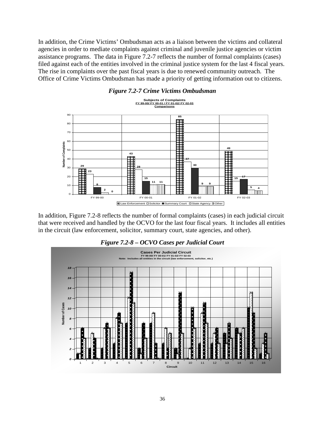In addition, the Crime Victims' Ombudsman acts as a liaison between the victims and collateral agencies in order to mediate complaints against criminal and juvenile justice agencies or victim assistance programs. The data in Figure 7.2-7 reflects the number of formal complaints (cases) filed against each of the entities involved in the criminal justice system for the last 4 fiscal years. The rise in complaints over the past fiscal years is due to renewed community outreach. The Office of Crime Victims Ombudsman has made a priority of getting information out to citizens.



*Figure 7.2-7 Crime Victims Ombudsman*

In addition, Figure 7.2-8 reflects the number of formal complaints (cases) in each judicial circuit that were received and handled by the OCVO for the last four fiscal years. It includes all entities in the circuit (law enforcement, solicitor, summary court, state agencies, and other).



#### *Figure 7.2-8 – OCVO Cases per Judicial Court*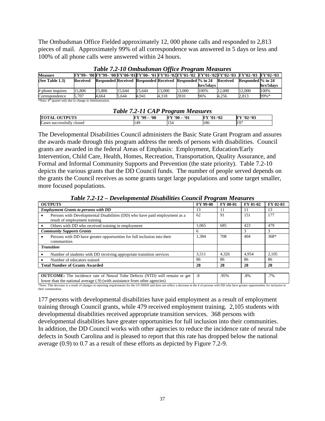The Ombudsman Office Fielded approximately 12, 000 phone calls and responded to 2,813 pieces of mail. Approximately 99% of all correspondence was answered in 5 days or less and 100% of all phone calls were answered within 24 hours.

| <b>Measure</b>     |          | FY'99- '00 FY'99- '00 FY'00-'01 FY'00- '01 FY'01-'02 FY'01-'02 FY'01-'02 FY'02-'03 FY'02-'03 FY'02-'03 |        |        |        |        |           |          |                   |           |
|--------------------|----------|--------------------------------------------------------------------------------------------------------|--------|--------|--------|--------|-----------|----------|-------------------|-----------|
| (See Table $1.3$ ) | Received | Responded Received Responded Received Responded  % in 24                                               |        |        |        |        |           | Received | Responded % in 24 |           |
|                    |          |                                                                                                        |        |        |        |        | hrs/5davs |          |                   | hrs/5davs |
| # phone inquires   | 15.806   | 15.806                                                                                                 | 15.644 | 15.644 | 13.000 | 13.000 | 100%      | 12,000   | 12.000            | 100%      |
| Correspondence     | 5.707    | 4.664                                                                                                  | 5.644  | 4.941  | 4.318  | 2810   | 96%       | 4.256    | 2.813             | 99%*      |

*Table 7.2-10 Ombudsman Office Program Measures*

\*Note: 4<sup>th</sup> quarter only due to change in Administration.

| <b>Table 7.2-11 CAP Program Measures</b> |              |              |                   |                   |  |  |  |  |
|------------------------------------------|--------------|--------------|-------------------|-------------------|--|--|--|--|
| <b>TOTAL OUTPUTS</b>                     | FY '99 - '00 | FY '00 - '01 | <b>FY '01-'02</b> | <b>FY '02-'03</b> |  |  |  |  |
| Cases successfully closed                | 149          | 154          | 186               | 1197              |  |  |  |  |

The Developmental Disabilities Council administers the Basic State Grant Program and assures the awards made through this program address the needs of persons with disabilities. Council grants are awarded in the federal Areas of Emphasis: Employment, Education/Early Intervention, Child Care, Health, Homes, Recreation, Transportation, Quality Assurance, and Formal and Informal Community Supports and Prevention (the state priority). Table 7.2-10 depicts the various grants that the DD Council funds. The number of people served depends on

the grants the Council receives as some grants target large populations and some target smaller, more focused populations.

| <b>OUTPUTS</b>                                                                                                                                                                                                                                                                                                        | <b>FY 99-00</b> | <b>FY 00-01</b> | FY 01-02 | FY 02-03 |
|-----------------------------------------------------------------------------------------------------------------------------------------------------------------------------------------------------------------------------------------------------------------------------------------------------------------------|-----------------|-----------------|----------|----------|
| <b>Employment Grants to persons with DD</b>                                                                                                                                                                                                                                                                           | 13              |                 | 11       | 13       |
| Persons with Developmental Disabilities (DD) who have paid employment as a<br>result of employment training                                                                                                                                                                                                           | 62              | 91              | 151      | 177      |
| Others with DD who received training in employment                                                                                                                                                                                                                                                                    | 1,065           | 685             | 423      | 479      |
| <b>Community Supports Grants</b>                                                                                                                                                                                                                                                                                      | 6               |                 | 3        | 3        |
| Persons with DD have greater opportunities for full inclusion into their<br>communities                                                                                                                                                                                                                               | 1,384           | 708             | 404      | $368*$   |
| <b>Transition</b>                                                                                                                                                                                                                                                                                                     |                 |                 |          |          |
| Number of students with DD receiving appropriate transition services                                                                                                                                                                                                                                                  | 3.511           | 4.326           | 4.954    | 2.105    |
| Number of educators trained                                                                                                                                                                                                                                                                                           | 86              | 86              | 86       | 86       |
| <b>Total Number of Grants Awarded</b>                                                                                                                                                                                                                                                                                 | 28              | 28              | 28       | 28       |
|                                                                                                                                                                                                                                                                                                                       |                 |                 |          |          |
| <b>OUTCOME:</b> The incidence rate of Neural Tube Defects (NTD) will remain or get<br>$\sim$ . The contract of the contract of the contract of the contract of the contract of the contract of the contract of the contract of the contract of the contract of the contract of the contract of the contract of the co | .8              | .95%            | $.8\%$   | .7%      |

lower than the national average (.9) (with assistance from other agencies) \*Note: This decrease is a result of changes in reporting requirements for the US DHHS and does not reflect a decrease in the # of persons with DD who have greater opportunities for inclusion in their communities.

177 persons with developmental disabilities have paid employment as a result of employment training through Council grants, while 479 received employment training. 2,105 students with developmental disabilities received appropriate transition services. 368 persons with developmental disabilities have greater opportunities for full inclusion into their communities. In addition, the DD Council works with other agencies to reduce the incidence rate of neural tube defects in South Carolina and is pleased to report that this rate has dropped below the national average (0.9) to 0.7 as a result of these efforts as depicted by Figure 7.2-9.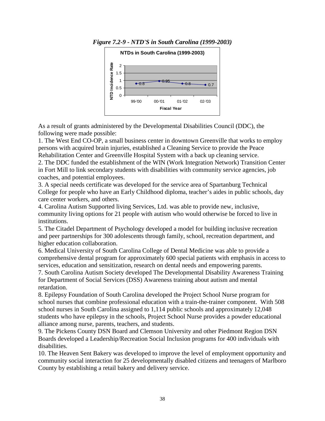

*Figure 7.2-9 - NTD'S in South Carolina (1999-2003)*

As a result of grants administered by the Developmental Disabilities Council (DDC), the following were made possible:

1. The West End CO-OP, a small business center in downtown Greenville that works to employ persons with acquired brain injuries, established a Cleaning Service to provide the Peace Rehabilitation Center and Greenville Hospital System with a back up cleaning service.

2. The DDC funded the establishment of the WIN (Work Integration Network) Transition Center in Fort Mill to link secondary students with disabilities with community service agencies, job coaches, and potential employees.

3. A special needs certificate was developed for the service area of Spartanburg Technical College for people who have an Early Childhood diploma, teacher's aides in public schools, day care center workers, and others.

4. Carolina Autism Supported living Services, Ltd. was able to provide new, inclusive, community living options for 21 people with autism who would otherwise be forced to live in institutions.

5. The Citadel Department of Psychology developed a model for building inclusive recreation and peer partnerships for 300 adolescents through family, school, recreation department, and higher education collaboration.

6. Medical University of South Carolina College of Dental Medicine was able to provide a comprehensive dental program for approximately 600 special patients with emphasis in access to services, education and sensitization, research on dental needs and empowering parents.

7. South Carolina Autism Society developed The Developmental Disability Awareness Training for Department of Social Services (DSS) Awareness training about autism and mental retardation.

8. Epilepsy Foundation of South Carolina developed the Project School Nurse program for school nurses that combine professional education with a train-the-trainer component. With 508 school nurses in South Carolina assigned to 1,114 public schools and approximately 12,048 students who have epilepsy in the schools, Project School Nurse provides a powder educational alliance among nurse, parents, teachers, and students.

9. The Pickens County DSN Board and Clemson University and other Piedmont Region DSN Boards developed a Leadership/Recreation Social Inclusion programs for 400 individuals with disabilities.

10. The Heaven Sent Bakery was developed to improve the level of employment opportunity and community social interaction for 25 developmentally disabled citizens and teenagers of Marlboro County by establishing a retail bakery and delivery service.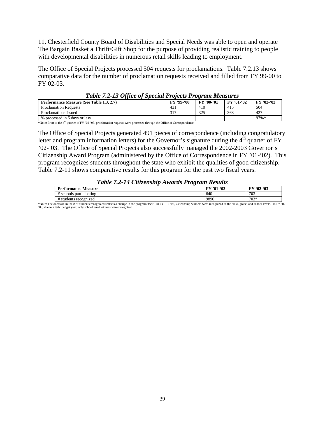11. Chesterfield County Board of Disabilities and Special Needs was able to open and operate The Bargain Basket a Thrift/Gift Shop for the purpose of providing realistic training to people with developmental disabilities in numerous retail skills leading to employment.

The Office of Special Projects processed 504 requests for proclamations. Table 7.2.13 shows comparative data for the number of proclamation requests received and filled from FY 99-00 to FY 02-03.

| Twore $\mathcal{L} = 10$ office of operator $\mathcal{L}$ of $\mathcal{L}$ on $\mathcal{L}$ and $\mathcal{L}$ and $\mathcal{L}$ |                   |                   |                   |            |  |  |  |  |  |  |
|---------------------------------------------------------------------------------------------------------------------------------|-------------------|-------------------|-------------------|------------|--|--|--|--|--|--|
| Performance Measure (See Table 1.3, 2.7)                                                                                        | <b>FY '99-'00</b> | <b>FY '00-'01</b> | <b>FY '01-'02</b> | $FY'02-03$ |  |  |  |  |  |  |
| <b>Proclamation Requests</b>                                                                                                    | 431               | 410               | 415               | 504        |  |  |  |  |  |  |
| Proclamations Issued                                                                                                            | 317               | 325               | 368               | 427        |  |  |  |  |  |  |
| % processed in 5 days or less                                                                                                   |                   |                   |                   | $97\% *$   |  |  |  |  |  |  |

#### *Table 7.2-13 Office of Special Projects Program Measures*

\*Note: Prior to the 4th quarter of FY '02-'03, proclamation requests were processed through the Office of Correspondence.

The Office of Special Projects generated 491 pieces of correspondence (including congratulatory letter and program information letters) for the Governor's signature during the  $4<sup>th</sup>$  quarter of FY '02-'03. The Office of Special Projects also successfully managed the 2002-2003 Governor's Citizenship Award Program (administered by the Office of Correspondence in FY '01-'02). This program recognizes students throughout the state who exhibit the qualities of good citizenship. Table 7.2-11 shows comparative results for this program for the past two fiscal years.

#### *Table 7.2-14 Citizenship Awards Program Results*

| Performance<br>Measure   | .92<br><b>TM</b><br>$^{\circ}$ 01- | -'03<br><b>FY '02-</b> |
|--------------------------|------------------------------------|------------------------|
| participating<br>schools | 640                                | 703                    |
| students recognized :    | 9890                               | $703*$                 |

\*Note: The decrease in the # of students recognized reflects a change in the program itself. In FY '01-'02, Citizenship winners were recognized at the class, grade, and school levels. In FY '02- '03, due to a tight budget year, only school level winners were recognized.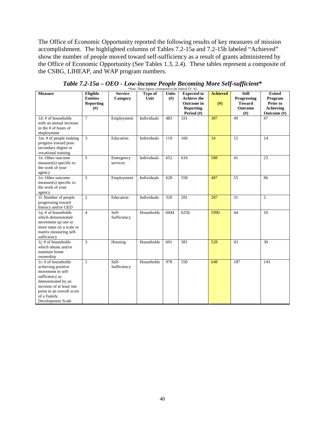The Office of Economic Opportunity reported the following results of key measures of mission accomplishment. The highlighted columns of Tables 7.2-15a and 7.2-15b labeled "Achieved" show the number of people moved toward self-sufficiency as a result of grants administered by the Office of Economic Opportunity (See Tables 1.3, 2.4). These tables represent a composite of the CSBG, LIHEAP, and WAP program numbers.

| <b>Measure</b>                                                                                                                                                                                      | Eligible<br><b>Entities</b> | <b>Service</b><br>Category | FOR $\epsilon$ , First figures correspond to the reading F $\epsilon$<br>Type of<br>Unit | <b>Units</b><br>(f#) | <b>Expected to</b><br><b>Achieve the</b>            | <b>Achieved</b> | <b>Still</b><br>Progressing           | <b>Exited</b><br>Program                    |
|-----------------------------------------------------------------------------------------------------------------------------------------------------------------------------------------------------|-----------------------------|----------------------------|------------------------------------------------------------------------------------------|----------------------|-----------------------------------------------------|-----------------|---------------------------------------|---------------------------------------------|
|                                                                                                                                                                                                     | Reporting<br>$(\#)$         |                            |                                                                                          |                      | <b>Outcome</b> in<br><b>Reporting</b><br>Period (#) | (H)             | <b>Toward</b><br><b>Outcome</b><br>#) | Prior to<br><b>Achieving</b><br>Outcome (#) |
| 1d: # of households<br>with an annual increase<br>in the # of hours of<br>employment                                                                                                                | $\tau$                      | Employment                 | Individuals                                                                              | 483                  | 331                                                 | 387             | 49                                    | 47                                          |
| 1m: # of people making<br>progress toward post-<br>secondary degree or<br>vocational training                                                                                                       | $\overline{3}$              | Education                  | Individuals                                                                              | 119                  | 160                                                 | 34              | 15                                    | 14                                          |
| 1n: Other outcome<br>measure(s) specific to<br>the work of your<br>agency                                                                                                                           | 5                           | Emergency<br>services      | Individuals                                                                              | 652                  | 610                                                 | 588             | 41                                    | 23                                          |
| 1n: Other outcome<br>measure(s) specific to<br>the work of your<br>agency                                                                                                                           | $\overline{5}$              | Employment                 | Individuals                                                                              | 628                  | 558                                                 | 487             | $\overline{55}$                       | 86                                          |
| 11: Number of people<br>progressing toward<br>literacy and/or GED                                                                                                                                   | $\overline{2}$              | Education                  | Individuals                                                                              | 320                  | 281                                                 | 287             | $\overline{31}$                       | $\overline{c}$                              |
| 1q: # of households<br>which demonstrated<br>movement up one or<br>more steps on a scale or<br>matrix measuring self-<br>sufficiency                                                                | $\overline{4}$              | Self-<br>Sufficiency       | Households                                                                               | 6044                 | 6250                                                | 5990            | 44                                    | 10                                          |
| 1j: # of households<br>which obtain and/or<br>maintain home<br>ownership                                                                                                                            | $\overline{3}$              | Housing                    | Households                                                                               | 601                  | 381                                                 | 528             | 43                                    | $\overline{30}$                             |
| 1r: # of households<br>achieving positive<br>movement in self-<br>sufficiency as<br>demonstrated by an<br>increase of at least one<br>point in an overall score<br>of a Family<br>Development Scale | $\mathbf{1}$                | Self-<br>Sufficiency       | Households                                                                               | 978                  | 550                                                 | 648             | 187                                   | 143                                         |

*Table 7.2-15a – OEO - Low-income People Becoming More Self-sufficient\** \*Note: These figures correspond to the federal FY '02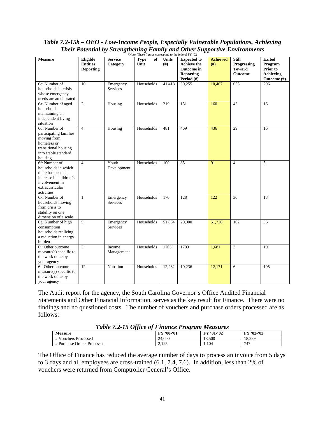| Table 7.2-15b – OEO - Low-Income People, Especially Vulnerable Populations, Achieving |
|---------------------------------------------------------------------------------------|
| <b>Their Potential by Strengthening Family and Other Supportive Environments</b>      |
| *Note: These figures correspond to the federal FY '02                                 |

| <b>Measure</b>                                                                                                                         | Eligible<br><b>Entities</b><br><b>Reporting</b> | <b>Service</b><br>Category   | <b>Type</b><br>of<br>Unit | <b>Units</b><br>(f# ) | <b>Expected</b> to<br><b>Achieve the</b><br>Outcome in<br><b>Reporting</b> | <b>Achieved</b><br>(f#) | <b>Still</b><br>Progressing<br><b>Toward</b><br><b>Outcome</b> | <b>Exited</b><br>Program<br>Prior to<br>Achieving |
|----------------------------------------------------------------------------------------------------------------------------------------|-------------------------------------------------|------------------------------|---------------------------|-----------------------|----------------------------------------------------------------------------|-------------------------|----------------------------------------------------------------|---------------------------------------------------|
| 6c: Number of<br>households in crisis<br>whose emergency<br>needs are ameliorated                                                      | 10                                              | Emergency<br><b>Services</b> | Households                | 41,418                | Period (#)<br>30,255                                                       | 10,467                  | 655                                                            | Outcome (#)<br>296                                |
| 6a: Number of aged<br>households<br>maintaining an<br>independent living<br>situation                                                  | $\overline{2}$                                  | Housing                      | Households                | 219                   | 151                                                                        | 160                     | 43                                                             | 16                                                |
| 6d: Number of<br>participating families<br>moving from<br>homeless or<br>transitional housing<br>into stable standard<br>housing       | $\overline{4}$                                  | Housing                      | Households                | 481                   | 469                                                                        | 436                     | 29                                                             | $\overline{16}$                                   |
| 6f: Number of<br>households in which<br>there has been an<br>increase in children's<br>involvement in<br>extracurricular<br>activities | $\overline{4}$                                  | Youth<br>Development         | Households                | 100                   | 85                                                                         | 91                      | $\overline{4}$                                                 | 5                                                 |
| 6k: Number of<br>households moving<br>from crisis to<br>stability on one<br>dimension of a scale                                       | $\mathbf{1}$                                    | Emergency<br><b>Services</b> | Households                | 170                   | 128                                                                        | 122                     | 30                                                             | 18                                                |
| 6g: Number of high<br>consumption<br>households realizing<br>a reduction in energy<br>burden                                           | 5                                               | Emergency<br><b>Services</b> | Households                | 51,884                | 20,000                                                                     | 51,726                  | 102                                                            | 56                                                |
| 6i: Other outcome<br>measure(s) specific to<br>the work done by<br>your agency                                                         | $\overline{\mathbf{3}}$                         | Income<br>Management         | Households                | 1703                  | 1703                                                                       | 1,681                   | 3                                                              | 19                                                |
| 6i: Other outcome<br>measure(s) specific to<br>the work done by<br>your agency                                                         | 12                                              | Nutrition                    | Households                | 12,282                | 10,236                                                                     | 12,171                  | 6                                                              | 105                                               |

The Audit report for the agency, the South Carolina Governor's Office Audited Financial Statements and Other Financial Information, serves as the key result for Finance. There were no findings and no questioned costs. The number of vouchers and purchase orders processed are as follows:

| Table 7.2-13 Office by Finance I rogram measures |                |                   |            |  |  |  |  |  |
|--------------------------------------------------|----------------|-------------------|------------|--|--|--|--|--|
| <b>Measure</b>                                   | FY '00-'01     | <b>FY '01-'02</b> | FY '02-'03 |  |  |  |  |  |
| # Vouchers Processed                             | 24,000         | 18.500            | 18.289     |  |  |  |  |  |
| # Purchase Orders Processed                      | 2.125<br>رے دے | . 104             | 747        |  |  |  |  |  |

*Table 7.2-15 Office of Finance Program Measures*

The Office of Finance has reduced the average number of days to process an invoice from 5 days to 3 days and all employees are cross-trained (6.1, 7.4, 7.6). In addition, less than 2% of vouchers were returned from Comptroller General's Office.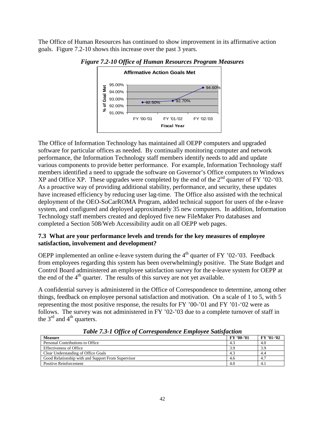The Office of Human Resources has continued to show improvement in its affirmative action goals. Figure 7.2-10 shows this increase over the past 3 years.



*Figure 7.2-10 Office of Human Resources Program Measures*

The Office of Information Technology has maintained all OEPP computers and upgraded software for particular offices as needed. By continually monitoring computer and network performance, the Information Technology staff members identify needs to add and update various components to provide better performance. For example, Information Technology staff members identified a need to upgrade the software on Governor's Office computers to Windows XP and Office XP. These upgrades were completed by the end of the  $2<sup>nd</sup>$  quarter of FY '02-'03. As a proactive way of providing additional stability, performance, and security, these updates have increased efficiency by reducing user lag-time. The Office also assisted with the technical deployment of the OEO-SoCarROMA Program, added technical support for users of the e-leave system, and configured and deployed approximately 35 new computers. In addition, Information Technology staff members created and deployed five new FileMaker Pro databases and completed a Section 508/Web Accessibility audit on all OEPP web pages.

# **7.3 What are your performance levels and trends for the key measures of employee satisfaction, involvement and development?**

OEPP implemented an online e-leave system during the  $4<sup>th</sup>$  quarter of FY '02-'03. Feedback from employees regarding this system has been overwhelmingly positive. The State Budget and Control Board administered an employee satisfaction survey for the e-leave system for OEPP at the end of the  $4<sup>th</sup>$  quarter. The results of this survey are not yet available.

A confidential survey is administered in the Office of Correspondence to determine, among other things, feedback on employee personal satisfaction and motivation. On a scale of 1 to 5, with 5 representing the most positive response, the results for FY '00-'01 and FY '01-'02 were as follows. The survey was not administered in FY '02-'03 due to a complete turnover of staff in the  $3<sup>rd</sup>$  and  $4<sup>th</sup>$  quarters.

| <b>Measure</b>                                     | FY '00-'01 | FY '01-'02 |
|----------------------------------------------------|------------|------------|
| Personal Contributions to Office                   | -4.3       | 4.0        |
| <b>Effectiveness of Office</b>                     | 3.9        | 3.9        |
| Clear Understanding of Office Goals                | 4.3        | 4.4        |
| Good Relationship with and Support From Supervisor | 4.6        | 4.7        |
| Positive Reinforcement                             | 4.0        | 4.1        |

*Table 7.3-1 Office of Correspondence Employee Satisfaction*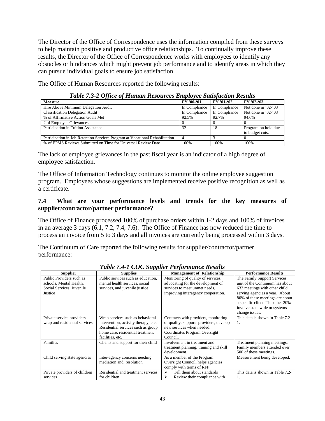The Director of the Office of Correspondence uses the information compiled from these surveys to help maintain positive and productive office relationships. To continually improve these results, the Director of the Office of Correspondence works with employees to identify any obstacles or hindrances which might prevent job performance and to identify areas in which they can pursue individual goals to ensure job satisfaction.

The Office of Human Resources reported the following results:

|                                                                              | <u>_</u>      |               |                        |
|------------------------------------------------------------------------------|---------------|---------------|------------------------|
| <b>Measure</b>                                                               | FY '00-'01    | $FY'01-02$    | $FY$ '02-'03           |
| Hire Above Minimum Delegation Audit                                          | In Compliance | In Compliance | Not done in $'02-(03)$ |
| <b>Classification Delegation Audit</b>                                       | In Compliance | In Compliance | Not done in $'02-(03)$ |
| % of Affirmative Action Goals Met                                            | 92.5%         | 92.7%         | 94.6%                  |
| # of Employee Grievances                                                     |               |               |                        |
| Participation in Tuition Assistance                                          | 32            | 18            | Program on hold due    |
|                                                                              |               |               | to budget cuts.        |
| Participation in Job Retention Services Program at Vocational Rehabilitation |               |               |                        |
| % of EPMS Reviews Submitted on Time for Universal Review Date                | 100%          | 100%          | 100\%                  |

*Table 7.3-2 Office of Human Resources Employee Satisfaction Results*

The lack of employee grievances in the past fiscal year is an indicator of a high degree of employee satisfaction.

The Office of Information Technology continues to monitor the online employee suggestion program. Employees whose suggestions are implemented receive positive recognition as well as a certificate.

# **7.4 What are your performance levels and trends for the key measures of supplier/contractor/partner performance?**

The Office of Finance processed 100% of purchase orders within 1-2 days and 100% of invoices in an average 3 days (6.1, 7.2, 7.4, 7.6). The Office of Finance has now reduced the time to process an invoice from 5 to 3 days and all invoices are currently being processed within 3 days.

The Continuum of Care reported the following results for supplier/contractor/partner performance:

| <b>Supplier</b>                                                                             | <b>Supplies</b>                                                                                                                                                        | <b>Management of Relationship</b>                                                                                                                         | <b>Performance Results</b>                                                                                                                                                                                                                                  |
|---------------------------------------------------------------------------------------------|------------------------------------------------------------------------------------------------------------------------------------------------------------------------|-----------------------------------------------------------------------------------------------------------------------------------------------------------|-------------------------------------------------------------------------------------------------------------------------------------------------------------------------------------------------------------------------------------------------------------|
| Public Providers such as<br>schools, Mental Health,<br>Social Services, Juvenile<br>Justice | Public services such as education.<br>mental health services, social<br>services, and juvenile justice                                                                 | Monitoring of quality of services,<br>advocating for the development of<br>services to meet unmet needs,<br>improving interagency cooperation.            | The Family Support Services<br>unit of the Continuum has about<br>633 meetings with other child<br>serving agencies a year. About<br>80% of these meetings are about<br>a specific client. The other 20%<br>involve state wide or systems<br>change issues. |
| Private service providers--<br>wrap and residential services                                | Wrap services such as behavioral<br>intervention, activity therapy, etc.<br>Residential services such as group<br>home care, residential treatment<br>facilities, etc. | Contracts with providers, monitoring<br>of quality, supports providers, develop<br>new services when needed.<br>Coordinates Program Oversight<br>Council. | This data is shown in Table 7.2-<br>1.                                                                                                                                                                                                                      |
| Families                                                                                    | Clients and support for their child                                                                                                                                    | Involvement in treatment and<br>treatment planning, training and skill<br>development.                                                                    | Treatment planning meetings:<br>Family members attended over<br>500 of these meetings.                                                                                                                                                                      |
| Child serving state agencies                                                                | Inter-agency concerns needing<br>mediation and resolution                                                                                                              | As a member of the Program<br>Oversight Council, helps agencies<br>comply with terms of RFP                                                               | Measurement being developed.                                                                                                                                                                                                                                |
| Private providers of children<br>services                                                   | Residential and treatment services<br>for children                                                                                                                     | Tell them about standards<br>⋗<br>⋗<br>Review their compliance with                                                                                       | This data is shown in Table 7.2-<br>1.                                                                                                                                                                                                                      |

*Table 7.4-1 COC Supplier Performance Results*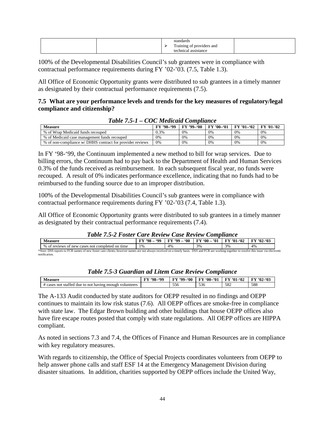|  | standards<br>$\mathbf{r}$<br>Training<br>t of providers and<br>$\circ$<br><b>ennical</b><br>ίe<br>assistance |  |
|--|--------------------------------------------------------------------------------------------------------------|--|
|--|--------------------------------------------------------------------------------------------------------------|--|

100% of the Developmental Disabilities Council's sub grantees were in compliance with contractual performance requirements during FY '02-'03. (7.5, Table 1.3).

All Office of Economic Opportunity grants were distributed to sub grantees in a timely manner as designated by their contractual performance requirements (7.5).

#### **7.5 What are your performance levels and trends for the key measures of regulatory/legal compliance and citizenship?**

| $10000$ $1001$ $ 000$ $0000$                              |            |            |            |                   |            |  |  |
|-----------------------------------------------------------|------------|------------|------------|-------------------|------------|--|--|
| <b>Measure</b>                                            | FY '98-'99 | FY '99-'00 | FY '00-'01 | <b>FY '01-'02</b> | FY '01-'02 |  |  |
| % of Wrap Medicaid funds recouped                         | 0.3%       | 0%         | $0\%$      | 0%                | 0%         |  |  |
| % of Medicaid case management funds recouped              | 0%         | 0%         | 0%         | 0%                | 0%         |  |  |
| % of non-compliance w/ DHHS contract for provider reviews | 0%         | 0%         | 0%         | 0%                | 0%         |  |  |

#### *Table 7.5-1 – COC Medicaid Compliance*

In FY '98-'99, the Continuum implemented a new method to bill for wrap services. Due to billing errors, the Continuum had to pay back to the Department of Health and Human Services 0.3% of the funds received as reimbursement. In each subsequent fiscal year, no funds were recouped. A result of 0% indicates performance excellence, indicating that no funds had to be reimbursed to the funding source due to an improper distribution.

100% of the Developmental Disabilities Council's sub grantees were in compliance with contractual performance requirements during FY '02-'03 (7.4, Table 1.3).

All Office of Economic Opportunity grants were distributed to sub grantees in a timely manner as designated by their contractual performance requirements (7.4).

**Measure**<br>  $\begin{array}{r} \n\textbf{FY '98 - '99} \\
\hline\n\textbf{FY '99 - '00} \\
\hline\n\textbf{FY '00 - '01} \\
\hline\n\textbf{FY '01 - '02} \\
\hline\n\textbf{FY '02 - '03} \\
\hline\n\textbf{FY '04 - '04} \\
\hline\n\textbf{FY '01 - '02} \\
\hline\n\textbf{FY '02 - '03} \\
\hline\n\textbf{FY '04 - '05} \\
\hline\n\textbf{FY '06 - '06} \\
\hline\n\textbf{FY '01 - '$ % of reviews of new cases not completed on time 1% 4% 3% 3% 3% \*Note: DSS reports to FCR names of new foster care clients; however names are not always received on a timely basis. DSS and FCR are working together to resolve this issue via electronic notification.

| Table 7.5-3 Guardian ad Litem Case Review Compliance |  |  |  |
|------------------------------------------------------|--|--|--|
|------------------------------------------------------|--|--|--|

| . AACIIPA<br>$-$ 450 $-$                                                           | ናሰበ<br>'98-<br>$\sim$<br> | <b>MO</b><br>'00_<br>$\mathbf{r}$ | 201<br>$60 -$<br><b>TAXZ</b><br>U1. | <b>TIX</b><br>.92<br>-'01- | -03<br>$2 - 02$<br>ΕМ<br>н |
|------------------------------------------------------------------------------------|---------------------------|-----------------------------------|-------------------------------------|----------------------------|----------------------------|
| $\sim$<br>statted<br>enough<br>≘not<br>having<br>volunteers<br>due<br>cases<br>not |                           | $  -$<br>556                      | $\sim$<br>230                       | 500<br>ے⊙د                 | 588                        |

The A-133 Audit conducted by state auditors for OEPP resulted in no findings and OEPP continues to maintain its low risk status (7.6). All OEPP offices are smoke-free in compliance with state law. The Edgar Brown building and other buildings that house OEPP offices also have fire escape routes posted that comply with state regulations. All OEPP offices are HIPPA compliant.

As noted in sections 7.3 and 7.4, the Offices of Finance and Human Resources are in compliance with key regulatory measures.

With regards to citizenship, the Office of Special Projects coordinates volunteers from OEPP to help answer phone calls and staff ESF 14 at the Emergency Management Division during disaster situations. In addition, charities supported by OEPP offices include the United Way,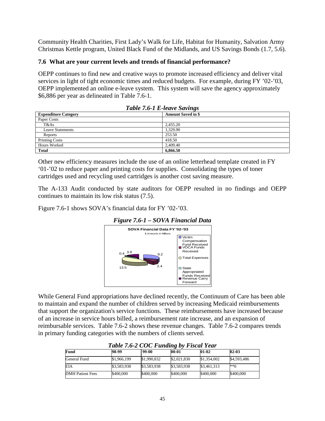Community Health Charities, First Lady's Walk for Life, Habitat for Humanity, Salvation Army Christmas Kettle program, United Black Fund of the Midlands, and US Savings Bonds (1.7, 5.6).

# **7.6 What are your current levels and trends of financial performance?**

OEPP continues to find new and creative ways to promote increased efficiency and deliver vital services in light of tight economic times and reduced budgets. For example, during FY '02-'03, OEPP implemented an online e-leave system. This system will save the agency approximately \$6,886 per year as delineated in Table 7.6-1.

| Table 7.0-1 E-leave Savings |                           |  |  |  |
|-----------------------------|---------------------------|--|--|--|
| <b>Expenditure Category</b> | <b>Amount Saved in \$</b> |  |  |  |
| Paper Costs                 |                           |  |  |  |
| T&As                        | 2,455.20                  |  |  |  |
| <b>Leave Statements</b>     | 1.329.90                  |  |  |  |
| Reports                     | 253.50                    |  |  |  |
| <b>Printing Costs</b>       | 418.50                    |  |  |  |
| Hours Worked                | 2,409.40                  |  |  |  |
| <b>Total</b>                | 6,866.50                  |  |  |  |

Other new efficiency measures include the use of an online letterhead template created in FY '01-'02 to reduce paper and printing costs for supplies. Consolidating the types of toner cartridges used and recycling used cartridges is another cost saving measure.

The A-133 Audit conducted by state auditors for OEPP resulted in no findings and OEPP continues to maintain its low risk status (7.5).

Figure 7.6-1 shows SOVA's financial data for FY '02-'03.



# *Figure 7.6-1 – SOVA Financial Data*

While General Fund appropriations have declined recently, the Continuum of Care has been able to maintain and expand the number of children served by increasing Medicaid reimbursements that support the organization's service functions. These reimbursements have increased because of an increase in service hours billed, a reimbursement rate increase, and an expansion of reimbursable services. Table 7.6-2 shows these revenue changes. Table 7.6-2 compares trends in primary funding categories with the numbers of clients served.

| $1$ word $1$ is $2 \cup 2 \cup 1$ whenever $0$<br>1 посме 1 см1 |             |             |             |             |                  |  |
|-----------------------------------------------------------------|-------------|-------------|-------------|-------------|------------------|--|
| Fund                                                            | 98-99       | 99-00       | $00 - 01$   | $01-02$     | $02 - 03$        |  |
| General Fund                                                    | \$1,966,199 | \$1,990,832 | \$2,021,830 | \$1,354,002 | \$4,593,486      |  |
| EIA                                                             | \$3,583,938 | \$3,583,938 | \$3,583,938 | \$3,461,313 | $*$ <sup>6</sup> |  |
| DMH Patient Fees                                                | \$400,000   | \$400,000   | \$400,000   | \$400,000   | \$400,000        |  |

*Table 7.6-2 COC Funding by Fiscal Year*